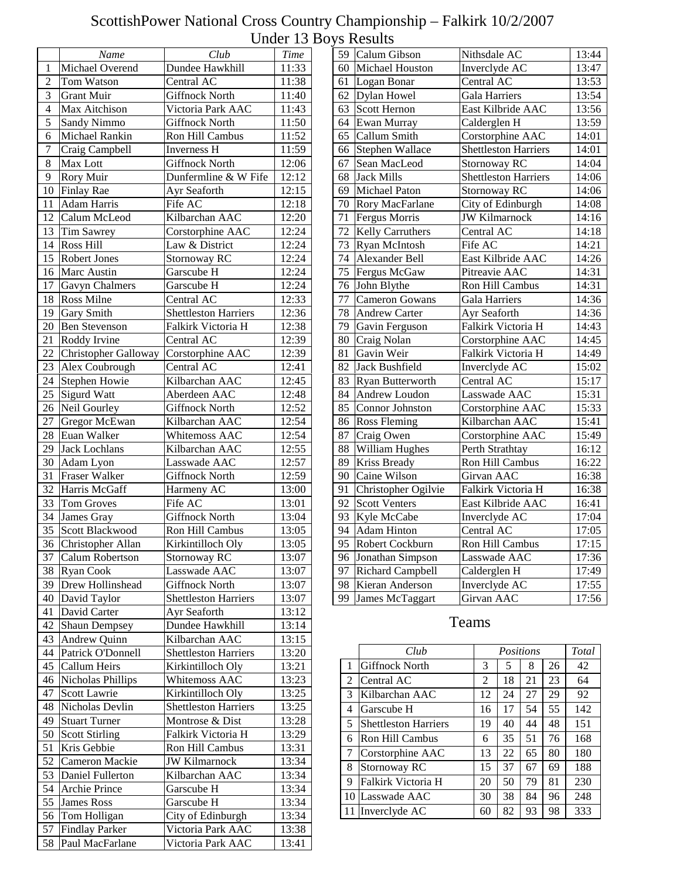|                | Name                                | Club                            | <b>Time</b>                  |
|----------------|-------------------------------------|---------------------------------|------------------------------|
| 1              | Michael Overend                     | Dundee Hawkhill                 | 11:33                        |
| $\overline{2}$ | Tom Watson                          | Central AC                      | 11:38                        |
| $\overline{3}$ | <b>Grant Muir</b>                   | <b>Giffnock North</b>           | 11:40                        |
| $\overline{4}$ | Max Aitchison                       | Victoria Park AAC               | 11:43                        |
| 5              | Sandy Nimmo                         | <b>Giffnock North</b>           | 11:50                        |
| 6              | Michael Rankin                      | <b>Ron Hill Cambus</b>          | 11:52                        |
| $\overline{7}$ | Craig Campbell                      | <b>Inverness H</b>              | 11:59                        |
| 8              | Max Lott                            | <b>Giffnock North</b>           | 12:06                        |
| 9              | Rory Muir                           | Dunfermline & W Fife            | 12:12                        |
| 10             | Finlay Rae                          | Ayr Seaforth                    | 12:15                        |
| 11             | Adam Harris                         | Fife AC                         | 12:18                        |
| 12             | Calum McLeod                        | Kilbarchan AAC                  | 12:20                        |
| 13             | Tim Sawrey                          | Corstorphine AAC                | 12:24                        |
| 14             | Ross Hill                           | Law & District                  | 12:24                        |
| 15             | <b>Robert Jones</b>                 | Stornoway RC                    | 12:24                        |
| 16             | Marc Austin                         | Garscube H                      | 12:24                        |
| 17             | Gavyn Chalmers                      | Garscube H                      | 12:24                        |
| 18             | Ross Milne                          | Central AC                      | 12:33                        |
| 19             | Gary Smith                          | <b>Shettleston Harriers</b>     | 12:36                        |
| 20             | <b>Ben Stevenson</b>                | Falkirk Victoria H              | 12:38                        |
| 21             | Roddy Irvine                        | Central AC                      | $\overline{1}$ 2:39          |
| 22             | Christopher Galloway                | Corstorphine AAC                | 12:39                        |
| 23             | Alex Coubrough                      | Central AC                      | 12:41                        |
| 24             | Stephen Howie                       | Kilbarchan AAC                  | 12:45                        |
| 25             | <b>Sigurd Watt</b>                  | Aberdeen AAC                    | 12:48                        |
| 26             | Neil Gourley                        | <b>Giffnock North</b>           | 12:52                        |
| 27             |                                     | Kilbarchan AAC                  | 12:54                        |
| 28             | Gregor McEwan                       |                                 |                              |
| 29             | Euan Walker<br><b>Jack Lochlans</b> | Whitemoss AAC<br>Kilbarchan AAC | 12:54<br>$\overline{1}$ 2:55 |
| 30             |                                     | Lasswade AAC                    | 12:57                        |
| 31             | Adam Lyon<br>Fraser Walker          | <b>Giffnock North</b>           | 12:59                        |
| 32             | Harris McGaff                       | Harmeny AC                      | 13:00                        |
| 33             |                                     | Fife AC                         | 13:01                        |
| 34             | Tom Groves                          | <b>Giffnock North</b>           |                              |
|                | James Gray                          |                                 | 13:04                        |
| 35             | Scott Blackwood                     | Ron Hill Cambus                 | 13:05                        |
| 36             | Christopher Allan                   | Kirkintilloch Oly               | 13:05                        |
| 37             | Calum Robertson                     | Stornoway RC                    | 13:07                        |
| 38             | <b>Ryan Cook</b>                    | Lasswade AAC                    | 13:07                        |
| 39             | Drew Hollinshead                    | <b>Giffnock North</b>           | 13:07                        |
| 40             | David Taylor                        | <b>Shettleston Harriers</b>     | 13:07                        |
| 41             | David Carter                        | Ayr Seaforth                    | 13:12                        |
| 42             | <b>Shaun Dempsey</b>                | Dundee Hawkhill                 | 13:14                        |
| 43             | Andrew Quinn                        | Kilbarchan AAC                  | 13:15                        |
| 44             | Patrick O'Donnell                   | <b>Shettleston Harriers</b>     | 13:20                        |
| 45             | Callum Heirs                        | Kirkintilloch Oly               | 13:21                        |
| 46             | Nicholas Phillips                   | Whitemoss AAC                   | 13:23                        |
| 47             | Scott Lawrie                        | Kirkintilloch Oly               | 13:25                        |
| 48             | Nicholas Devlin                     | <b>Shettleston Harriers</b>     | 13:25                        |
| 49             | <b>Stuart Turner</b>                | Montrose & Dist                 | 13:28                        |
| 50             | <b>Scott Stirling</b>               | Falkirk Victoria H              | 13:29                        |
| 51             | Kris Gebbie                         | Ron Hill Cambus                 | 13:31                        |
| 52             | Cameron Mackie                      | <b>JW Kilmarnock</b>            | 13:34                        |
| 53             | Daniel Fullerton                    | Kilbarchan AAC                  | 13:34                        |
| 54             | Archie Prince                       | Garscube H                      | 13:34                        |
| 55             | <b>James Ross</b>                   | Garscube H                      | 13:34                        |
| 56             | Tom Holligan                        | City of Edinburgh               | 13:34                        |
| 57             | <b>Findlay Parker</b>               | Victoria Park AAC               | 13:38                        |
| 58             | Paul MacFarlane                     | Victoria Park AAC               | 13:41                        |

| 59              | Calum Gibson            | Nithsdale AC                | 13:44              |
|-----------------|-------------------------|-----------------------------|--------------------|
| 60              | Michael Houston         | Inverclyde AC               | 13:47              |
| 61              | Logan Bonar             | Central AC                  | 13:53              |
| 62              | Dylan Howel             | <b>Gala Harriers</b>        | 13:54              |
| 63              | Scott Hernon            | East Kilbride AAC           | 13:56              |
| 64              | Ewan Murray             | Calderglen H                | 13:59              |
| 65              | Callum Smith            | Corstorphine AAC            | 14:01              |
| 66              | Stephen Wallace         | <b>Shettleston Harriers</b> | 14:01              |
| 67              | Sean MacLeod            | Stornoway RC                | 14:04              |
| 68              | <b>Jack Mills</b>       | <b>Shettleston Harriers</b> | 14:06              |
| 69              | <b>Michael Paton</b>    | Stornoway RC                | 14:06              |
| 70              | Rory MacFarlane         | City of Edinburgh           | 14:08              |
| 71              | Fergus Morris           | <b>JW Kilmarnock</b>        | $\overline{1}4:16$ |
| 72              | <b>Kelly Carruthers</b> | Central AC                  | 14:18              |
| 73              | Ryan McIntosh           | Fife AC                     | 14:21              |
| 74              | Alexander Bell          | East Kilbride AAC           | 14:26              |
| 75              | Fergus McGaw            | Pitreavie AAC               | 14:31              |
| 76              | John Blythe             | <b>Ron Hill Cambus</b>      | 14:31              |
| 77              | Cameron Gowans          | <b>Gala Harriers</b>        | 14:36              |
| 78              | <b>Andrew Carter</b>    | Ayr Seaforth                | 14:36              |
| 79              | Gavin Ferguson          | Falkirk Victoria H          | 14:43              |
| 80              | Craig Nolan             | Corstorphine AAC            | 14:45              |
| 81              | Gavin Weir              | Falkirk Victoria H          | 14:49              |
| 82              | Jack Bushfield          | Inverclyde AC               | 15:02              |
| 83              | Ryan Butterworth        | Central AC                  | 15:17              |
| 84              | Andrew Loudon           | Lasswade AAC                | 15:31              |
| 85              | Connor Johnston         | Corstorphine AAC            | 15:33              |
| 86              | <b>Ross Fleming</b>     | Kilbarchan AAC              | 15:41              |
| 87              | Craig Owen              | Corstorphine AAC            | 15:49              |
| 88              | William Hughes          | Perth Strathtay             | 16:12              |
| 89              | Kriss Bready            | Ron Hill Cambus             | 16:22              |
| 90              | Caine Wilson            | Girvan AAC                  | 16:38              |
| 91              | Christopher Ogilvie     | Falkirk Victoria H          | 16:38              |
| 92              | <b>Scott Venters</b>    | East Kilbride AAC           | 16:41              |
| 93              | Kyle McCabe             | Inverclyde AC               | 17:04              |
| 94              | <b>Adam Hinton</b>      | Central AC                  | 17:05              |
| $\overline{95}$ | Robert Cockburn         | Ron Hill Cambus             | 17:15              |
| $\overline{96}$ | Jonathan Simpson        | Lasswade AAC                | 17:36              |
| $\overline{97}$ | Richard Campbell        | Calderglen H                | 17:49              |
| 98              | Kieran Anderson         | <b>Inverclyde AC</b>        | 17:55              |
| 99              | James McTaggart         | Girvan AAC                  | 17:56              |
|                 |                         |                             |                    |

|    | Club                        |    | Positions |    |    |     |  |
|----|-----------------------------|----|-----------|----|----|-----|--|
| 1  | <b>Giffnock North</b>       | 3  | 5         | 8  | 26 | 42  |  |
| 2  | Central AC                  | 2  | 18        | 21 | 23 | 64  |  |
| 3  | Kilbarchan AAC              | 12 | 24        | 27 | 29 | 92  |  |
| 4  | Garscube H                  | 16 | 17        | 54 | 55 | 142 |  |
| 5  | <b>Shettleston Harriers</b> | 19 | 40        | 44 | 48 | 151 |  |
| 6  | Ron Hill Cambus             | 6  | 35        | 51 | 76 | 168 |  |
| 7  | Corstorphine AAC            | 13 | 22        | 65 | 80 | 180 |  |
| 8  | Stornoway RC                | 15 | 37        | 67 | 69 | 188 |  |
| 9  | Falkirk Victoria H          | 20 | 50        | 79 | 81 | 230 |  |
| 10 | Lasswade AAC                | 30 | 38        | 84 | 96 | 248 |  |
| 11 | Inverclyde AC               | 60 | 82        | 93 | 98 | 333 |  |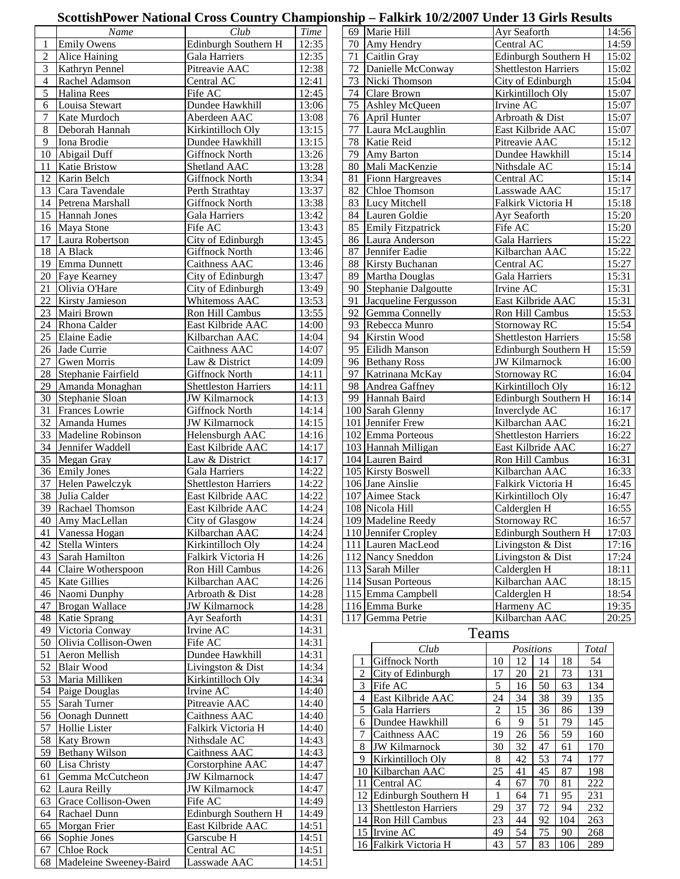### **ScottishPower National Cross Country Championship – Falkirk 10/2/2007 Under 13 Girls Results**

|                | Name                       | Club                               | <b>Time</b>    |    | 69 Marie Hill                          |                  | Ayr Seaforth                |        |          |            | 14:56          |
|----------------|----------------------------|------------------------------------|----------------|----|----------------------------------------|------------------|-----------------------------|--------|----------|------------|----------------|
|                | <b>Emily Owens</b>         | Edinburgh Southern H               | 12:35          | 70 | Amy Hendry                             |                  | Central AC                  |        |          |            | 14:59          |
| 2              | Alice Haining              | Gala Harriers                      | 12:35          | 71 | Caitlin Gray                           |                  | Edinburgh Southern H        |        |          |            | 15:02          |
| 3              | Kathryn Pennel             | Pitreavie AAC                      | 12:38          | 72 | Danielle McConway                      |                  | <b>Shettleston Harriers</b> |        |          |            | 15:02          |
| $\overline{4}$ | Rachel Adamson             | Central AC                         | 12:41          | 73 | Nicki Thomson                          |                  | City of Edinburgh           |        |          |            | 15:04          |
| 5              | Halina Rees                | Fife AC                            | 12:45          | 74 | Clare Brown                            |                  | Kirkintilloch Oly           |        |          |            | 15:07          |
| 6              | Louisa Stewart             | Dundee Hawkhill                    | 13:06          | 75 | Ashley McQueen                         |                  | Irvine AC                   |        |          |            | 15:07          |
| 7              | Kate Murdoch               | Aberdeen AAC                       | 13:08          | 76 | April Hunter                           |                  | Arbroath & Dist             |        |          |            | 15:07          |
| 8              | Deborah Hannah             | Kirkintilloch Oly                  | 13:15          | 77 | Laura McLaughlin                       |                  | East Kilbride AAC           |        |          |            | 15:07          |
| 9              | Iona Brodie                | Dundee Hawkhill                    | 13:15          | 78 | Katie Reid                             |                  | Pitreavie AAC               |        |          |            | 15:12          |
|                | 10 Abigail Duff            | <b>Giffnock North</b>              | 13:26          | 79 | Amy Barton                             |                  | Dundee Hawkhill             |        |          |            | 15:14          |
| 11             | <b>Katie Bristow</b>       | Shetland AAC                       | 13:28          | 80 | Mali MacKenzie                         |                  | Nithsdale AC                |        |          |            | 15:14          |
| 12             | Karin Belch                | <b>Giffnock North</b>              | 13:34          | 81 | <b>Fionn Hargreaves</b>                |                  | Central AC                  |        |          |            | 15:14          |
| 13             | Cara Tavendale             | Perth Strathtay                    | 13:37          | 82 | Chloe Thomson                          |                  | Lasswade AAC                |        |          |            | 15:17          |
|                | 14 Petrena Marshall        | Giffnock North                     | 13:38          |    | 83 Lucy Mitchell                       |                  | Falkirk Victoria H          |        |          |            | 15:18          |
|                | 15 Hannah Jones            | <b>Gala Harriers</b>               | 13:42          |    | 84 Lauren Goldie                       |                  | Ayr Seaforth                |        |          |            | 15:20          |
|                | 16 Maya Stone              | Fife AC                            | 13:43          |    | 85 Emily Fitzpatrick                   |                  | Fife AC                     |        |          |            | 15:20          |
|                | 17 Laura Robertson         | City of Edinburgh                  | 13:45          |    | 86 Laura Anderson                      |                  | Gala Harriers               |        |          |            | 15:22          |
|                | 18 A Black                 | <b>Giffnock North</b>              | 13:46          | 87 | Jennifer Eadie                         |                  | Kilbarchan AAC              |        |          |            | 15:22          |
|                | 19 Emma Dunnett            | Caithness AAC                      | 13:46          | 88 | Kirsty Buchanan                        |                  | Central AC                  |        |          |            | 15:27          |
|                | 20 Faye Kearney            | City of Edinburgh                  | 13:47          |    | 89 Martha Douglas                      |                  | Gala Harriers               |        |          |            | 15:31          |
| 21             | Olivia O'Hare              |                                    |                |    | 90 Stephanie Dalgoutte                 |                  | Irvine AC                   |        |          |            |                |
|                |                            | City of Edinburgh<br>Whitemoss AAC | 13:49<br>13:53 |    |                                        |                  | East Kilbride AAC           |        |          |            | 15:31<br>15:31 |
| 22             | <b>Kirsty Jamieson</b>     |                                    |                | 91 | Jacqueline Fergusson                   |                  |                             |        |          |            |                |
|                | 23 Mairi Brown             | Ron Hill Cambus                    | 13:55          | 92 | Gemma Connelly                         |                  | Ron Hill Cambus             |        |          |            | 15:53          |
| 24             | Rhona Calder               | East Kilbride AAC                  | 14:00          | 93 | Rebecca Munro                          |                  | Stornoway RC                |        |          |            | 15:54          |
| 25             | <b>Elaine Eadie</b>        | Kilbarchan AAC                     | 14:04          | 94 | Kirstin Wood                           |                  | <b>Shettleston Harriers</b> |        |          |            | 15:58          |
|                | 26 Jade Currie             | Caithness AAC                      | 14:07          | 95 | Eilidh Manson                          |                  | Edinburgh Southern H        |        |          |            | 15:59          |
| 27             | <b>Gwen Morris</b>         | Law & District                     | 14:09          |    | 96 Bethany Ross                        |                  | <b>JW Kilmarnock</b>        |        |          |            | 16:00          |
|                | 28 Stephanie Fairfield     | <b>Giffnock North</b>              | 14:11          | 97 | Katrinana McKay                        |                  | Stornoway RC                |        |          |            | 16:04          |
|                | 29 Amanda Monaghan         | <b>Shettleston Harriers</b>        | 14:11          | 98 | Andrea Gaffney                         |                  | Kirkintilloch Oly           |        |          |            | 16:12          |
|                | 30 Stephanie Sloan         | <b>JW Kilmarnock</b>               | 14:13          | 99 | Hannah Baird                           |                  | Edinburgh Southern H        |        |          |            | 16:14          |
| 31             | Frances Lowrie             | Giffnock North                     | 14:14          |    | 100 Sarah Glenny                       |                  | Inverclyde AC               |        |          |            | 16:17          |
|                | 32 Amanda Humes            | <b>JW Kilmarnock</b>               | 14:15          |    | 101 Jennifer Frew                      |                  | Kilbarchan AAC              |        |          |            | 16:21          |
|                | 33 Madeline Robinson       | Helensburgh AAC                    | 14:16          |    | 102 Emma Porteous                      |                  | <b>Shettleston Harriers</b> |        |          |            | 16:22          |
|                | 34 Jennifer Waddell        | East Kilbride AAC                  | 14:17          |    | 103 Hannah Milligan                    |                  | East Kilbride AAC           |        |          |            | 16:27          |
|                | 35 Megan Gray              | Law & District                     | 14:17          |    | 104 Lauren Baird                       |                  | Ron Hill Cambus             |        |          |            | 16:31          |
|                | 36 Emily Jones             | Gala Harriers                      | 14:22          |    | 105 Kirsty Boswell                     |                  | Kilbarchan AAC              |        |          |            | 16:33          |
| 37             | Helen Pawelczyk            | <b>Shettleston Harriers</b>        | 14:22          |    | 106 Jane Ainslie                       |                  | Falkirk Victoria H          |        |          |            | 16:45          |
|                | 38 Julia Calder            | East Kilbride AAC                  | 14:22          |    | 107 Aimee Stack                        |                  | Kirkintilloch Oly           |        |          |            | 16:47          |
|                | 39 Rachael Thomson         | East Kilbride AAC                  | 14:24          |    | 108 Nicola Hill                        |                  | Calderglen H                |        |          |            | 16:55          |
|                | 40 Amy MacLellan           | City of Glasgow                    | 14:24          |    | 109 Madeline Reedy                     |                  | Stornoway RC                |        |          |            | 16:57          |
|                | 41 Vanessa Hogan           | Kilbarchan AAC                     | 14:24          |    | 110 Jennifer Cropley                   |                  | Edinburgh Southern H        |        |          |            | 17:03          |
|                | 42 Stella Winters          | Kirkintilloch Oly                  | 14:24          |    | 111 Lauren MacLeod                     |                  | Livingston & Dist           |        |          |            | 17:16          |
|                | 43 Sarah Hamilton          | Falkirk Victoria H                 | 14:26          |    | 112 Nancy Sneddon                      |                  | Livingston & Dist           |        |          |            | 17:24          |
|                | 44 Claire Wotherspoon      | Ron Hill Cambus                    | 14:26          |    | 113 Sarah Miller                       |                  | Calderglen H                |        |          |            | 18:11          |
|                | 45 Kate Gillies            | Kilbarchan AAC                     | 14:26          |    | 114 Susan Porteous                     |                  | Kilbarchan AAC              |        |          |            | 18:15          |
|                | 46 Naomi Dunphy            | Arbroath & Dist                    | 14:28          |    | 115 Emma Campbell                      |                  | Calderglen H                |        |          |            | 18:54          |
| 47             | <b>Brogan Wallace</b>      | <b>JW</b> Kilmarnock               | 14:28          |    | 116 Emma Burke                         |                  | Harmeny AC                  |        |          |            | 19:35          |
| 48             | Katie Sprang               | Ayr Seaforth                       | 14:31          |    | 117 Gemma Petrie                       |                  | Kilbarchan AAC              |        |          |            | 20:25          |
| 49             | Victoria Conway            | Irvine AC                          | 14:31          |    |                                        | Teams            |                             |        |          |            |                |
|                | 50 Olivia Collison-Owen    | Fife AC                            | 14:31          |    | Club                                   |                  | Positions                   |        |          | Total      |                |
| 51             | Aeron Mellish              | Dundee Hawkhill                    | 14:31          |    | Giffnock North<br>1                    | 10               | 12                          | 14     | 18       | 54         |                |
| 52             | <b>Blair Wood</b>          | Livingston & Dist                  | 14:34          |    | $\overline{c}$<br>City of Edinburgh    | 17               | $20\,$                      | 21     | 73       | 131        |                |
|                | 53 Maria Milliken          | Kirkintilloch Oly                  | 14:34          |    | $\mathfrak{Z}$<br>Fife AC              | $\sqrt{5}$       | 16                          | 50     | 63       | 134        |                |
|                | 54 Paige Douglas           | Irvine AC                          | 14:40          |    | $\overline{4}$<br>East Kilbride AAC    | 24               | 34                          | 38     | 39       | 135        |                |
| 55             | Sarah Turner               | Pitreavie AAC                      | 14:40          |    |                                        |                  | 15                          | 36     | 86       | 139        |                |
|                | 56 Oonagh Dunnett          | Caithness AAC                      | 14:40          |    | 5<br>Gala Harriers                     | $\boldsymbol{2}$ | 9                           |        |          |            |                |
| 57             | Hollie Lister              | Falkirk Victoria H                 | 14:40          |    | Dundee Hawkhill<br>6<br>$\overline{7}$ | $\sqrt{6}$<br>19 | 26                          | 51     | 79<br>59 | 145<br>160 |                |
|                | 58 Katy Brown              | Nithsdale AC                       | 14:43          |    | Caithness AAC                          |                  |                             | 56     |          |            |                |
|                | 59 Bethany Wilson          | Caithness AAC                      | 14:43          |    | <b>JW Kilmarnock</b><br>8              | 30               | 32                          | 47     | 61       | 170        |                |
| 60             | Lisa Christy               | Corstorphine AAC                   | 14:47          |    | 9<br>Kirkintilloch Oly                 | 8                | 42                          | 53     | 74       | 177        |                |
| 61             | Gemma McCutcheon           | <b>JW Kilmarnock</b>               | 14:47          |    | Kilbarchan AAC<br>10 l                 | 25               | 41                          | 45     | 87       | 198        |                |
|                | 62 Laura Reilly            | <b>JW Kilmarnock</b>               | 14:47          |    | Central AC<br>11                       | $\overline{4}$   | 67                          | $70\,$ | 81       | 222        |                |
| 63             | Grace Collison-Owen        | Fife AC                            | 14:49          |    | 12 Edinburgh Southern H                | $\mathbf{1}$     | 64                          | 71     | 95       | 231        |                |
|                | 64 Rachael Dunn            | Edinburgh Southern H               | 14:49          |    | 13 Shettleston Harriers                | 29               | 37                          | 72     | 94       | 232        |                |
|                | 65 Morgan Frier            | East Kilbride AAC                  | 14:51          |    | 14 Ron Hill Cambus                     | 23               | 44                          | 92     | 104      | 263        |                |
|                | 66 Sophie Jones            | Garscube H                         | 14:51          |    | 15 Irvine AC                           | 49               | 54                          | 75     | 90       | 268        |                |
| 67             | <b>Chloe Rock</b>          | Central AC                         | 14:51          |    | 16 Falkirk Victoria H                  | 43               | 57                          | 83     | 106      | 289        |                |
|                | 68 Madeleine Sweeney-Baird | Lasswade AAC                       | 14:51          |    |                                        |                  |                             |        |          |            |                |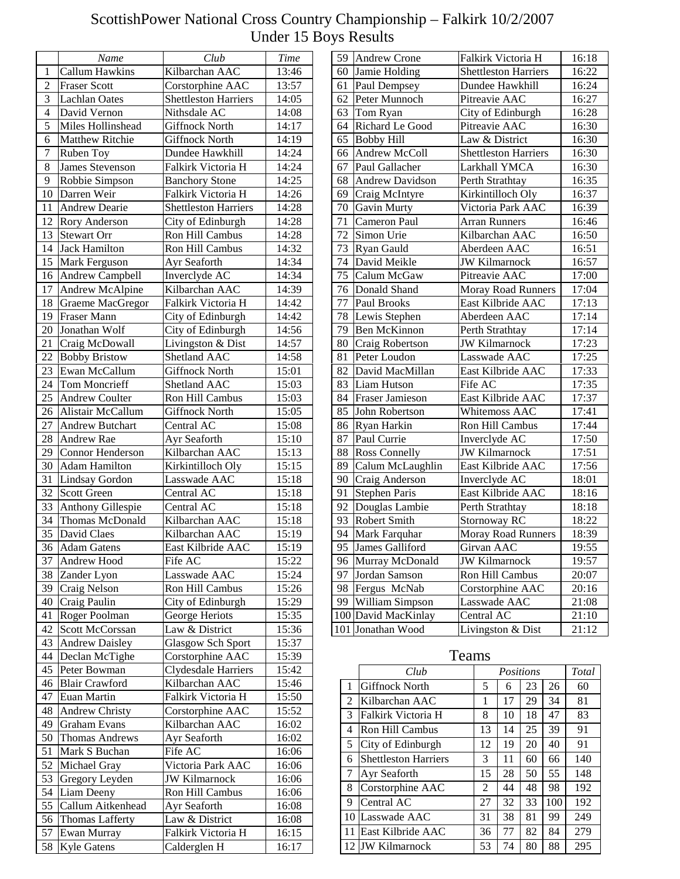|                | Name                                        | Club                                | <b>Time</b>    |
|----------------|---------------------------------------------|-------------------------------------|----------------|
| $\mathbf{1}$   | <b>Callum Hawkins</b>                       | Kilbarchan AAC                      | 13:46          |
| $\overline{2}$ | <b>Fraser Scott</b>                         | Corstorphine AAC                    | 13:57          |
| $\overline{3}$ | <b>Lachlan Oates</b>                        | <b>Shettleston Harriers</b>         | 14:05          |
| $\overline{4}$ | David Vernon                                | Nithsdale AC                        | 14:08          |
| $\overline{5}$ | Miles Hollinshead                           | Giffnock North                      | 14:17          |
| $\overline{6}$ | <b>Matthew Ritchie</b>                      | <b>Giffnock North</b>               | 14:19          |
| 7              | Ruben Toy                                   | Dundee Hawkhill                     | 14:24          |
| 8              | <b>James Stevenson</b>                      | Falkirk Victoria H                  | 14:24          |
| 9              | Robbie Simpson                              | <b>Banchory Stone</b>               | 14:25          |
| 10             | Darren Weir                                 | Falkirk Victoria H                  | 14:26          |
| 11             | <b>Andrew Dearie</b>                        | <b>Shettleston Harriers</b>         | 14:28          |
| 12             | Rory Anderson                               | City of Edinburgh                   | 14:28          |
| 13             | Stewart Orr                                 | Ron Hill Cambus                     | 14:28          |
| 14             | <b>Jack Hamilton</b>                        | Ron Hill Cambus                     | 14:32          |
| 15             | Mark Ferguson                               | Ayr Seaforth                        | 14:34          |
| 16             | Andrew Campbell                             | Inverclyde AC                       | 14:34          |
| 17             | Andrew McAlpine                             | Kilbarchan AAC                      | 14:39          |
| 18             | Graeme MacGregor                            | Falkirk Victoria H                  | 14:42          |
| 19             | Fraser Mann                                 | City of Edinburgh                   | 14:42          |
| 20             | Jonathan Wolf                               | City of Edinburgh                   | 14:56          |
| 21             | Craig McDowall                              | Livingston & Dist                   | 14:57          |
| 22             | <b>Bobby Bristow</b>                        | <b>Shetland AAC</b>                 | 14:58          |
| 23             | Ewan McCallum                               | <b>Giffnock North</b>               | 15:01          |
| 24             | <b>Tom Moncrieff</b>                        | Shetland AAC                        | 15:03          |
| 25             | <b>Andrew Coulter</b>                       | Ron Hill Cambus                     | 15:03          |
| 26             | Alistair McCallum                           | <b>Giffnock North</b>               | 15:05          |
| 27             | Andrew Butchart                             | Central AC                          | 15:08          |
| 28             | Andrew Rae                                  | Ayr Seaforth                        | 15:10          |
| 29             | Connor Henderson                            | Kilbarchan AAC                      |                |
|                | <b>Adam Hamilton</b>                        |                                     | 15:13          |
| 30<br>31       | Lindsay Gordon                              | Kirkintilloch Oly<br>Lasswade AAC   | 15:15<br>15:18 |
| 32             | <b>Scott Green</b>                          | Central AC                          | 15:18          |
| 33             |                                             | Central AC                          | 15:18          |
| 34             | <b>Anthony Gillespie</b><br>Thomas McDonald | Kilbarchan AAC                      | 15:18          |
| 35             | David Claes                                 |                                     | 15:19          |
|                |                                             | Kilbarchan AAC<br>East Kilbride AAC |                |
| 36             | <b>Adam Gatens</b>                          |                                     | 15:19          |
| 37             | Andrew Hood                                 | Fife AC                             | 15:22          |
| 38             | Zander Lyon                                 | Lasswade AAC                        | 15:24          |
| 39             | Craig Nelson                                | Ron Hill Cambus                     | 15:26          |
| 40             | Craig Paulin                                | City of Edinburgh                   | 15:29          |
| 41             | Roger Poolman                               | George Heriots                      | 15:35          |
| 42             | Scott McCorssan                             | Law & District                      | 15:36          |
| 43             | <b>Andrew Daisley</b>                       | <b>Glasgow Sch Sport</b>            | 15:37          |
| 44             | Declan McTighe                              | Corstorphine AAC                    | 15:39          |
| 45             | Peter Bowman                                | Clydesdale Harriers                 | 15:42          |
| 46             | <b>Blair Crawford</b>                       | Kilbarchan AAC                      | 15:46          |
| 47             | Euan Martin                                 | Falkirk Victoria H                  | 15:50          |
| 48             | Andrew Christy                              | Corstorphine AAC                    | 15:52          |
| 49             | <b>Graham Evans</b>                         | Kilbarchan AAC                      | 16:02          |
| 50             | <b>Thomas Andrews</b>                       | Ayr Seaforth                        | 16:02          |
| 51             | Mark S Buchan                               | Fife AC                             | 16:06          |
| 52             | Michael Gray                                | Victoria Park AAC                   | 16:06          |
| 53             | Gregory Leyden                              | <b>JW</b> Kilmarnock                | 16:06          |
| 54             | Liam Deeny                                  | Ron Hill Cambus                     | 16:06          |
| 55             | Callum Aitkenhead                           | Ayr Seaforth                        | 16:08          |
| 56             | Thomas Lafferty                             | Law & District                      | 16:08          |
| 57             | Ewan Murray                                 | Falkirk Victoria H                  | 16:15          |
| 58             | Kyle Gatens                                 | Calderglen H                        | 16:17          |

| 59              | <b>Andrew Crone</b>    | Falkirk Victoria H          | 16:18 |
|-----------------|------------------------|-----------------------------|-------|
| 60              | Jamie Holding          | <b>Shettleston Harriers</b> | 16:22 |
| 61              | Paul Dempsey           | Dundee Hawkhill             | 16:24 |
| 62              | Peter Munnoch          | Pitreavie AAC               | 16:27 |
| 63              | Tom Ryan               | City of Edinburgh           | 16:28 |
| 64              | Richard Le Good        | Pitreavie AAC               | 16:30 |
| 65              | <b>Bobby Hill</b>      | Law & District              | 16:30 |
| 66              | Andrew McColl          | <b>Shettleston Harriers</b> | 16:30 |
| 67              | Paul Gallacher         | Larkhall YMCA               | 16:30 |
| 68              | <b>Andrew Davidson</b> | Perth Strathtay             | 16:35 |
| 69              | Craig McIntyre         | Kirkintilloch Oly           | 16:37 |
| 70              | Gavin Murty            | Victoria Park AAC           | 16:39 |
| 71              | Cameron Paul           | <b>Arran Runners</b>        | 16:46 |
| 72              | Simon Urie             | Kilbarchan AAC              | 16:50 |
| 73              | Ryan Gauld             | Aberdeen AAC                | 16:51 |
| 74              | David Meikle           | <b>JW Kilmarnock</b>        | 16:57 |
| 75              | Calum McGaw            | Pitreavie AAC               | 17:00 |
| 76              | Donald Shand           | <b>Moray Road Runners</b>   | 17:04 |
| 77              | Paul Brooks            | East Kilbride AAC           | 17:13 |
| 78              | Lewis Stephen          | Aberdeen AAC                | 17:14 |
| 79              | <b>Ben McKinnon</b>    | Perth Strathtay             | 17:14 |
| 80              | Craig Robertson        | <b>JW Kilmarnock</b>        | 17:23 |
| 81              | Peter Loudon           | Lasswade AAC                | 17:25 |
| 82              | David MacMillan        | East Kilbride AAC           | 17:33 |
| 83              | <b>Liam Hutson</b>     | Fife AC                     | 17:35 |
| 84              | <b>Fraser Jamieson</b> | East Kilbride AAC           | 17:37 |
| 85              | John Robertson         | Whitemoss AAC               | 17:41 |
| 86              | Ryan Harkin            | Ron Hill Cambus             | 17:44 |
| 87              | Paul Currie            | Inverclyde AC               | 17:50 |
| 88              | <b>Ross Connelly</b>   | <b>JW Kilmarnock</b>        | 17:51 |
| 89              | Calum McLaughlin       | East Kilbride AAC           | 17:56 |
| 90              | Craig Anderson         | Inverclyde AC               | 18:01 |
| 91              | <b>Stephen Paris</b>   | East Kilbride AAC           | 18:16 |
| 92              | Douglas Lambie         | Perth Strathtay             | 18:18 |
| 93              | <b>Robert Smith</b>    | Stornoway RC                | 18:22 |
| 94              | Mark Farquhar          | Moray Road Runners          | 18:39 |
| $\overline{95}$ | James Galliford        | Girvan AAC                  | 19:55 |
| 96              | Murray McDonald        | JW Kilmarnock               | 19:57 |
| 97              | Jordan Samson          | Ron Hill Cambus             | 20:07 |
| 98              | Fergus McNab           | Corstorphine AAC            | 20:16 |
| 99              | William Simpson        | Lasswade AAC                | 21:08 |
| 100             | David MacKinlay        | Central AC                  | 21:10 |
| 101             | Jonathan Wood          | Livingston & Dist           | 21:12 |
|                 |                        |                             |       |

|              | Club                        |    | Positions |    |     | Total |
|--------------|-----------------------------|----|-----------|----|-----|-------|
| $\mathbf{1}$ | Giffnock North              | 5  | 6         | 23 | 26  | 60    |
| 2            | Kilbarchan AAC              | 1  | 17        | 29 | 34  | 81    |
| 3            | Falkirk Victoria H          | 8  | 10        | 18 | 47  | 83    |
| 4            | Ron Hill Cambus             | 13 | 14        | 25 | 39  | 91    |
| 5            | City of Edinburgh           | 12 | 19        | 20 | 40  | 91    |
| 6            | <b>Shettleston Harriers</b> | 3  | 11        | 60 | 66  | 140   |
| 7            | Ayr Seaforth                | 15 | 28        | 50 | 55  | 148   |
| 8            | Corstorphine AAC            | 2  | 44        | 48 | 98  | 192   |
| 9            | Central AC                  | 27 | 32        | 33 | 100 | 192   |
| 10           | Lasswade AAC                | 31 | 38        | 81 | 99  | 249   |
| -11          | East Kilbride AAC           | 36 | 77        | 82 | 84  | 279   |
| 12           | <b>JW Kilmarnock</b>        | 53 | 74        | 80 | 88  | 295   |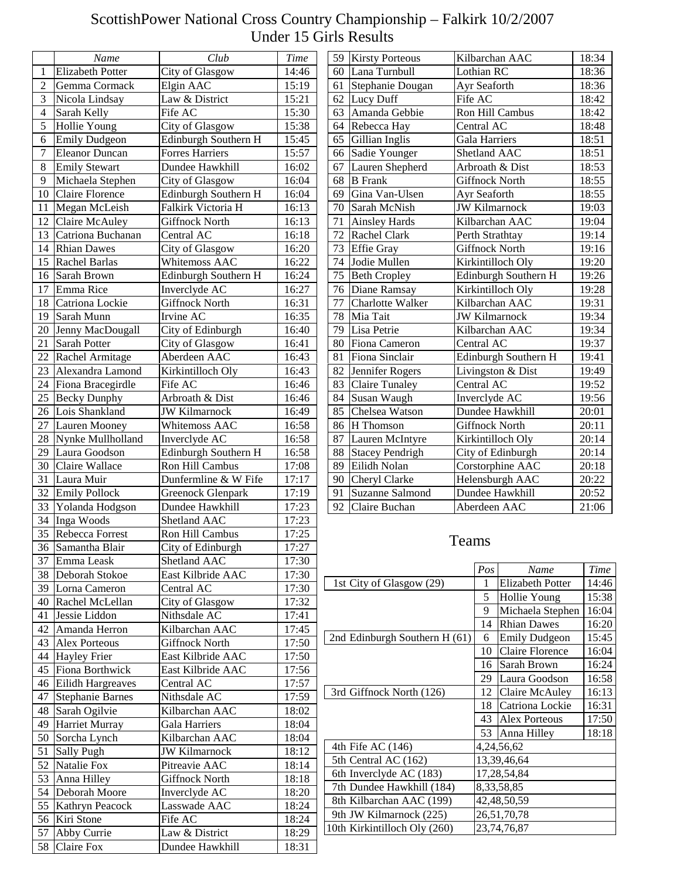## ScottishPower National Cross Country Championship – Falkirk 10/2/2007 Under 15 Girls Results

|                | Name                    | Club                   | Time  | 59 | <b>Kirsty Porteous</b>         |                |               | Kilbarchan AAC          | 18:34 |
|----------------|-------------------------|------------------------|-------|----|--------------------------------|----------------|---------------|-------------------------|-------|
| 1              | <b>Elizabeth Potter</b> | City of Glasgow        | 14:46 | 60 | Lana Turnbull                  |                | Lothian RC    |                         | 18:36 |
| $\overline{2}$ | Gemma Cormack           | Elgin AAC              | 15:19 | 61 | Stephanie Dougan               |                | Ayr Seaforth  |                         | 18:36 |
| 3              | Nicola Lindsay          | Law & District         | 15:21 | 62 | Lucy Duff                      | Fife AC        |               |                         | 18:42 |
| 4              | Sarah Kelly             | Fife AC                | 15:30 | 63 | Amanda Gebbie                  |                |               | Ron Hill Cambus         | 18:42 |
| 5              | Hollie Young            | City of Glasgow        | 15:38 | 64 | Rebecca Hay                    |                | Central AC    |                         | 18:48 |
|                |                         |                        |       |    |                                |                |               |                         |       |
| 6              | <b>Emily Dudgeon</b>    | Edinburgh Southern H   | 15:45 | 65 | Gillian Inglis                 |                | Gala Harriers |                         | 18:51 |
| 7              | <b>Eleanor Duncan</b>   | <b>Forres Harriers</b> | 15:57 | 66 | Sadie Younger                  |                |               | Shetland AAC            | 18:51 |
| 8              | <b>Emily Stewart</b>    | Dundee Hawkhill        | 16:02 | 67 | Lauren Shepherd                |                |               | Arbroath & Dist         | 18:53 |
| 9              | Michaela Stephen        | City of Glasgow        | 16:04 | 68 | <b>B</b> Frank                 |                |               | Giffnock North          | 18:55 |
| 10             | <b>Claire Florence</b>  | Edinburgh Southern H   | 16:04 | 69 | Gina Van-Ulsen                 |                | Ayr Seaforth  |                         | 18:55 |
| 11             | Megan McLeish           | Falkirk Victoria H     | 16:13 | 70 | Sarah McNish                   |                |               | <b>JW Kilmarnock</b>    | 19:03 |
| 12             | Claire McAuley          | Giffnock North         | 16:13 | 71 | <b>Ainsley Hards</b>           |                |               | Kilbarchan AAC          | 19:04 |
| 13             | Catriona Buchanan       | Central AC             | 16:18 | 72 | Rachel Clark                   |                |               | Perth Strathtay         | 19:14 |
| 14             | <b>Rhian Dawes</b>      | City of Glasgow        | 16:20 | 73 | <b>Effie</b> Gray              |                |               | <b>Giffnock North</b>   | 19:16 |
| 15             | Rachel Barlas           | Whitemoss AAC          | 16:22 | 74 | Jodie Mullen                   |                |               | Kirkintilloch Oly       | 19:20 |
| 16             | Sarah Brown             | Edinburgh Southern H   | 16:24 | 75 | <b>Beth Cropley</b>            |                |               | Edinburgh Southern H    | 19:26 |
| 17             | Emma Rice               | Inverclyde AC          | 16:27 |    | 76 Diane Ramsay                |                |               | Kirkintilloch Oly       | 19:28 |
| 18             | Catriona Lockie         | <b>Giffnock North</b>  | 16:31 | 77 | Charlotte Walker               |                |               | Kilbarchan AAC          | 19:31 |
| 19             | Sarah Munn              | Irvine AC              | 16:35 | 78 | Mia Tait                       |                |               | <b>JW Kilmarnock</b>    | 19:34 |
| 20             | Jenny MacDougall        | City of Edinburgh      | 16:40 | 79 | Lisa Petrie                    |                |               | Kilbarchan AAC          | 19:34 |
| 21             | Sarah Potter            | City of Glasgow        | 16:41 | 80 | Fiona Cameron                  |                | Central AC    |                         | 19:37 |
| 22             | Rachel Armitage         | Aberdeen AAC           | 16:43 | 81 | Fiona Sinclair                 |                |               | Edinburgh Southern H    | 19:41 |
| 23             | Alexandra Lamond        | Kirkintilloch Oly      | 16:43 | 82 | Jennifer Rogers                |                |               | Livingston & Dist       | 19:49 |
| 24             | Fiona Bracegirdle       | Fife AC                | 16:46 | 83 | <b>Claire Tunaley</b>          |                | Central AC    |                         | 19:52 |
| 25             | <b>Becky Dunphy</b>     | Arbroath & Dist        | 16:46 | 84 | Susan Waugh                    |                |               | Inverclyde AC           | 19:56 |
| 26             | Lois Shankland          | <b>JW Kilmarnock</b>   | 16:49 | 85 | Chelsea Watson                 |                |               | Dundee Hawkhill         | 20:01 |
| 27             | Lauren Mooney           | Whitemoss AAC          | 16:58 | 86 | H Thomson                      | Giffnock North |               |                         | 20:11 |
| 28             | Nynke Mullholland       | Inverclyde AC          | 16:58 | 87 | Lauren McIntyre                |                |               | Kirkintilloch Oly       | 20:14 |
| 29             | Laura Goodson           | Edinburgh Southern H   | 16:58 | 88 | <b>Stacey Pendrigh</b>         |                |               | City of Edinburgh       | 20:14 |
| 30             | Claire Wallace          | Ron Hill Cambus        | 17:08 | 89 | Eilidh Nolan                   |                |               | Corstorphine AAC        | 20:18 |
| 31             | Laura Muir              | Dunfermline & W Fife   | 17:17 | 90 | Cheryl Clarke                  |                |               | Helensburgh AAC         | 20:22 |
| 32             | <b>Emily Pollock</b>    | Greenock Glenpark      | 17:19 | 91 | Suzanne Salmond                |                |               | Dundee Hawkhill         | 20:52 |
| 33             | Yolanda Hodgson         | Dundee Hawkhill        | 17:23 | 92 | Claire Buchan                  |                |               | Aberdeen AAC            | 21:06 |
| 34             | Inga Woods              | Shetland AAC           | 17:23 |    |                                |                |               |                         |       |
| 35             | Rebecca Forrest         | Ron Hill Cambus        | 17:25 |    |                                |                |               |                         |       |
|                | 36 Samantha Blair       | City of Edinburgh      | 17:27 |    |                                | Teams          |               |                         |       |
| 37             | Emma Leask              | Shetland AAC           | 17:30 |    |                                |                |               |                         |       |
| 38             | Deborah Stokoe          | East Kilbride AAC      | 17:30 |    |                                |                | Pos           | Name                    | Time  |
| 39             | Lorna Cameron           | Central AC             | 17:30 |    | 1st City of Glasgow (29)       |                | -1            | <b>Elizabeth Potter</b> | 14:46 |
| 40             | Rachel McLellan         | City of Glasgow        | 17:32 |    |                                |                | 5             | Hollie Young            | 15:38 |
|                | Jessie Liddon           | Nithsdale AC           | 17:41 |    |                                |                | 9             | Michaela Stephen        | 16:04 |
| 41             | Amanda Herron           | Kilbarchan AAC         |       |    |                                |                | 14            | <b>Rhian Dawes</b>      | 16:20 |
| 42             |                         |                        | 17:45 |    | 2nd Edinburgh Southern H (61)  |                | 6             | <b>Emily Dudgeon</b>    | 15:45 |
|                | 43 Alex Porteous        | <b>Giffnock North</b>  | 17:50 |    |                                |                | 10            | <b>Claire Florence</b>  | 16:04 |
| 44             | <b>Hayley Frier</b>     | East Kilbride AAC      | 17:50 |    |                                |                |               | 16 Sarah Brown          | 16:24 |
| 45             | Fiona Borthwick         | East Kilbride AAC      | 17:56 |    |                                |                |               | 29 Laura Goodson        | 16:58 |
| 46             | Eilidh Hargreaves       | Central AC             | 17:57 |    | 3rd Giffnock North (126)       |                |               | 12 Claire McAuley       | 16:13 |
| 47             | <b>Stephanie Barnes</b> | Nithsdale AC           | 17:59 |    |                                |                |               | 18 Catriona Lockie      | 16:31 |
| 48             | Sarah Ogilvie           | Kilbarchan AAC         | 18:02 |    |                                |                |               | 43 Alex Porteous        | 17:50 |
| 49             | <b>Harriet Murray</b>   | <b>Gala Harriers</b>   | 18:04 |    |                                |                |               | 53 Anna Hilley          | 18:18 |
| 50             | Sorcha Lynch            | Kilbarchan AAC         | 18:04 |    | 4th Fife AC (146)              |                |               | 4,24,56,62              |       |
| 51             | Sally Pugh              | <b>JW Kilmarnock</b>   | 18:12 |    | 5th Central AC (162)           |                |               | 13,39,46,64             |       |
| 52             | Natalie Fox             | Pitreavie AAC          | 18:14 |    |                                |                |               |                         |       |
| 53             | Anna Hilley             | <b>Giffnock North</b>  | 18:18 |    | 6th Inverclyde AC (183)        |                |               | 17,28,54,84             |       |
|                | 54 Deborah Moore        | Inverclyde AC          | 18:20 |    | 7th Dundee Hawkhill (184)      |                |               | 8, 33, 58, 85           |       |
|                | 55 Kathryn Peacock      | Lasswade AAC           | 18:24 |    | 8th Kilbarchan AAC (199)       |                |               | 42,48,50,59             |       |
| 56             | Kiri Stone              | Fife AC                | 18:24 |    | 9th JW Kilmarnock (225)        |                |               | 26,51,70,78             |       |
| 57             | Abby Currie             | Law & District         | 18:29 |    | 10th Kirkintilloch Oly $(260)$ |                |               | 23,74,76,87             |       |
|                | 58 Claire Fox           | Dundee Hawkhill        | 18:31 |    |                                |                |               |                         |       |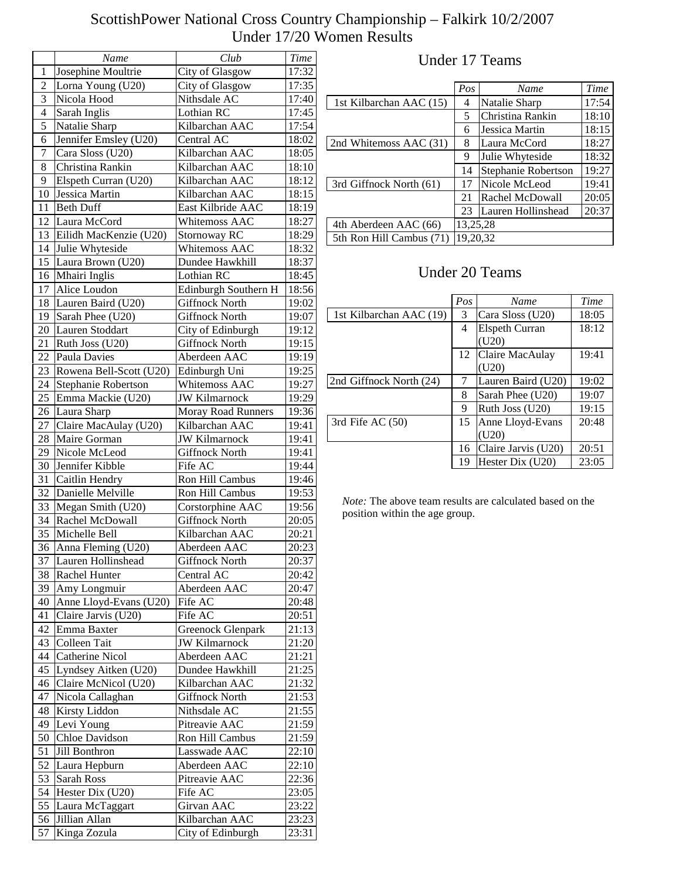|                 | Name                    | Club                      | <b>Time</b> |
|-----------------|-------------------------|---------------------------|-------------|
| 1               | Josephine Moultrie      | City of Glasgow           | 17:32       |
| 2               | Lorna Young (U20)       | City of Glasgow           | 17:35       |
| 3               | Nicola Hood             | Nithsdale AC              | 17:40       |
| 4               | Sarah Inglis            | Lothian RC                | 17:45       |
| 5               | Natalie Sharp           | Kilbarchan AAC            | 17:54       |
| 6               | Jennifer Emsley (U20)   | Central AC                | 18:02       |
| 7               | Cara Sloss (U20)        | Kilbarchan AAC            | 18:05       |
| $\,$ 8 $\,$     | Christina Rankin        | Kilbarchan AAC            | 18:10       |
| 9               | Elspeth Curran (U20)    | Kilbarchan AAC            | 18:12       |
| 10              | Jessica Martin          | Kilbarchan AAC            | 18:15       |
| 11              | <b>Beth Duff</b>        | East Kilbride AAC         | 18:19       |
| 12              | Laura McCord            | Whitemoss AAC             | 18:27       |
| 13              | Eilidh MacKenzie (U20)  | Stornoway RC              | 18:29       |
| 14              | Julie Whyteside         | Whitemoss AAC             | 18:32       |
| 15              | Laura Brown (U20)       | Dundee Hawkhill           | 18:37       |
| 16              | Mhairi Inglis           | Lothian RC                | 18:45       |
| 17              | Alice Loudon            | Edinburgh Southern H      | 18:56       |
| 18              | Lauren Baird (U20)      | <b>Giffnock North</b>     | 19:02       |
| 19              | Sarah Phee (U20)        | <b>Giffnock North</b>     | 19:07       |
| 20              | Lauren Stoddart         | City of Edinburgh         | 19:12       |
| 21              | Ruth Joss (U20)         | <b>Giffnock North</b>     | 19:15       |
| 22              | Paula Davies            | Aberdeen AAC              | 19:19       |
| 23              | Rowena Bell-Scott (U20) | Edinburgh Uni             | 19:25       |
| 24              | Stephanie Robertson     | Whitemoss AAC             | 19:27       |
| 25              | Emma Mackie (U20)       | <b>JW Kilmarnock</b>      | 19:29       |
| 26              | Laura Sharp             | <b>Moray Road Runners</b> | 19:36       |
| 27              | Claire MacAulay (U20)   | Kilbarchan AAC            | 19:41       |
| 28              | Maire Gorman            | <b>JW Kilmarnock</b>      | 19:41       |
| 29              | Nicole McLeod           | <b>Giffnock North</b>     | 19:41       |
| 30              | Jennifer Kibble         | Fife AC                   | 19:44       |
| 31              | Caitlin Hendry          | Ron Hill Cambus           | 19:46       |
| 32              | Danielle Melville       | Ron Hill Cambus           | 19:53       |
| 33              | Megan Smith (U20)       | Corstorphine AAC          | 19:56       |
| 34              | Rachel McDowall         | <b>Giffnock North</b>     | 20:05       |
| 35              | Michelle Bell           | Kilbarchan AAC            | 20:21       |
| $\overline{36}$ | Anna Fleming (U20)      | Aberdeen AAC              | 20:23       |
| 37              | Lauren Hollinshead      | <b>Giffnock North</b>     | 20:37       |
| 38              | Rachel Hunter           | Central AC                | 20:42       |
| 39              | Amy Longmuir            | Aberdeen AAC              | 20:47       |
| 40              | Anne Lloyd-Evans (U20)  | Fife AC                   | 20:48       |
| 41              | Claire Jarvis (U20)     | Fife AC                   | 20:51       |
| 42              | Emma Baxter             | Greenock Glenpark         | 21:13       |
| 43              | Colleen Tait            | <b>JW</b> Kilmarnock      | 21:20       |
| 44              | Catherine Nicol         | Aberdeen AAC              | 21:21       |
| 45              | Lyndsey Aitken (U20)    | Dundee Hawkhill           | 21:25       |
| 46              | Claire McNicol (U20)    | Kilbarchan AAC            | 21:32       |
| 47              | Nicola Callaghan        | <b>Giffnock North</b>     | 21:53       |
| 48              | Kirsty Liddon           | Nithsdale AC              | 21:55       |
| 49              | Levi Young              | Pitreavie AAC             | 21:59       |
| 50              | Chloe Davidson          | Ron Hill Cambus           | 21:59       |
| 51              | Jill Bonthron           | Lasswade AAC              | 22:10       |
| 52              | Laura Hepburn           | Aberdeen AAC              | 22:10       |
| 53              | Sarah Ross              | Pitreavie AAC             | 22:36       |
| 54              | Hester Dix (U20)        | Fife AC                   | 23:05       |
| 55              | Laura McTaggart         | Girvan AAC                | 23:22       |
| 56              | Jillian Allan           | Kilbarchan AAC            | 23:23       |
| 57              | Kinga Zozula            | City of Edinburgh         | 23:31       |

#### Under 17 Teams

|                          | Pos      | Name                | Time  |  |  |
|--------------------------|----------|---------------------|-------|--|--|
|                          |          |                     |       |  |  |
| 1st Kilbarchan AAC (15)  |          | Natalie Sharp       | 17:54 |  |  |
|                          | 5        | Christina Rankin    | 18:10 |  |  |
|                          | 6        | Jessica Martin      | 18:15 |  |  |
| 2nd Whitemoss AAC (31)   | 8        | Laura McCord        | 18:27 |  |  |
|                          | 9        | Julie Whyteside     | 18:32 |  |  |
|                          | 14       | Stephanie Robertson | 19:27 |  |  |
| 3rd Giffnock North (61)  | 17       | Nicole McLeod       | 19:41 |  |  |
|                          | 21       | Rachel McDowall     | 20:05 |  |  |
|                          | 23       | Lauren Hollinshead  | 20:37 |  |  |
| 4th Aberdeen AAC (66)    | 13,25,28 |                     |       |  |  |
| 5th Ron Hill Cambus (71) | 19,20,32 |                     |       |  |  |

# Under 20 Teams

|                         | Pos | Name                  | Time  |
|-------------------------|-----|-----------------------|-------|
| 1st Kilbarchan AAC (19) | 3   | Cara Sloss (U20)      | 18:05 |
|                         | 4   | <b>Elspeth Curran</b> | 18:12 |
|                         |     | (U20)                 |       |
|                         | 12  | Claire MacAulay       | 19:41 |
|                         |     | (U20)                 |       |
| 2nd Giffnock North (24) |     | Lauren Baird (U20)    | 19:02 |
|                         | 8   | Sarah Phee (U20)      | 19:07 |
|                         | 9   | Ruth Joss (U20)       | 19:15 |
| 3rd Fife AC (50)        | 15  | Anne Lloyd-Evans      | 20:48 |
|                         |     | (U20)                 |       |
|                         | 16  | Claire Jarvis (U20)   | 20:51 |
|                         | 19  | Hester Dix (U20)      | 23:05 |

*Note:* The above team results are calculated based on the position within the age group.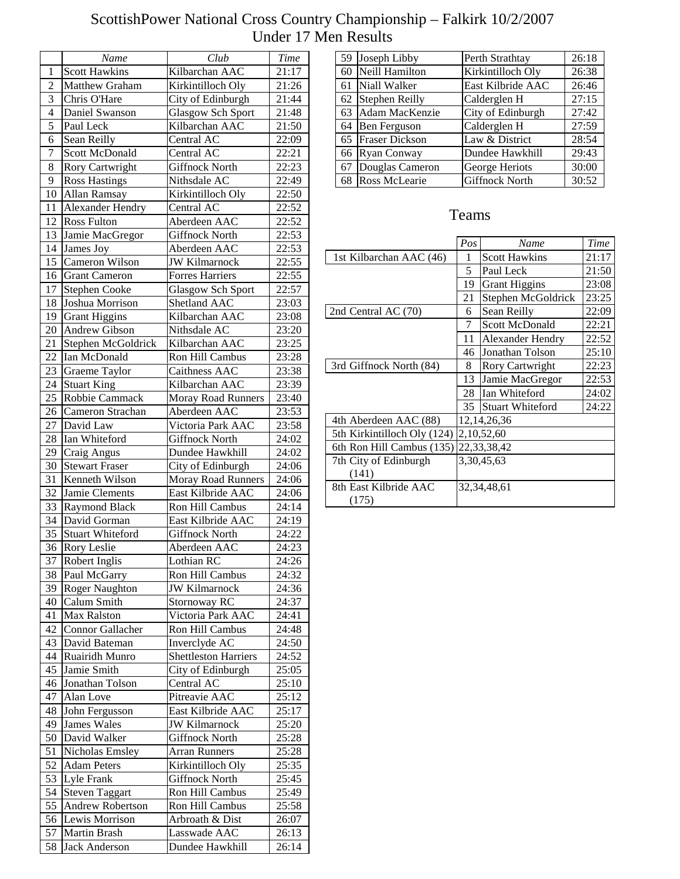|                 | Name                    | Club                        | <b>Time</b>    |
|-----------------|-------------------------|-----------------------------|----------------|
| $\mathbf{1}$    | <b>Scott Hawkins</b>    | Kilbarchan AAC              | 21:17          |
| $\overline{2}$  | Matthew Graham          | Kirkintilloch Oly           | 21:26          |
| 3               | Chris O'Hare            | City of Edinburgh           | 21:44          |
| $\overline{4}$  | Daniel Swanson          | <b>Glasgow Sch Sport</b>    | 21:48          |
| 5               | Paul Leck               | Kilbarchan AAC              | 21:50          |
| 6               | Sean Reilly             | Central AC                  | 22:09          |
| 7               | <b>Scott McDonald</b>   | Central AC                  | 22:21          |
| 8               | Rory Cartwright         | <b>Giffnock North</b>       | 22:23          |
| 9               | <b>Ross Hastings</b>    | Nithsdale AC                | 22:49          |
| 10              | Allan Ramsay            | Kirkintilloch Oly           | 22:50          |
| 11              | <b>Alexander Hendry</b> | Central AC                  | 22:52          |
| 12              | Ross Fulton             | Aberdeen AAC                | 22:52          |
| 13              |                         |                             |                |
|                 | Jamie MacGregor         | Giffnock North              | 22:53          |
| 14              | James Joy               | Aberdeen AAC                | 22:53          |
| 15              | Cameron Wilson          | <b>JW Kilmarnock</b>        | 22:55          |
| 16              | <b>Grant Cameron</b>    | <b>Forres Harriers</b>      | 22:55          |
| 17              | <b>Stephen Cooke</b>    | <b>Glasgow Sch Sport</b>    | 22:57          |
| 18              | Joshua Morrison         | Shetland AAC                | 23:03          |
| 19              | <b>Grant Higgins</b>    | Kilbarchan AAC              | 23:08          |
| 20              | Andrew Gibson           | Nithsdale AC                | 23:20          |
| 21              | Stephen McGoldrick      | Kilbarchan AAC              | 23:25          |
| $\overline{22}$ | Ian McDonald            | Ron Hill Cambus             | 23:28          |
| 23              | Graeme Taylor           | Caithness AAC               | 23:38          |
| 24              | <b>Stuart King</b>      | Kilbarchan AAC              | 23:39          |
| 25              | Robbie Cammack          | Moray Road Runners          | 23:40          |
| 26              | Cameron Strachan        | Aberdeen AAC                | 23:53          |
| 27              | David Law               | Victoria Park AAC           | 23:58          |
| 28              | Ian Whiteford           | <b>Giffnock North</b>       | 24:02          |
| 29              | Craig Angus             | Dundee Hawkhill             | 24:02          |
| 30              | <b>Stewart Fraser</b>   | City of Edinburgh           | 24:06          |
| 31              | Kenneth Wilson          | Moray Road Runners          | 24:06          |
| 32              | Jamie Clements          | East Kilbride AAC           | 24:06          |
| 33              | Raymond Black           | Ron Hill Cambus             | 24:14          |
| 34              | David Gorman            | East Kilbride AAC           | 24:19          |
| 35              | <b>Stuart Whiteford</b> |                             |                |
| 36              | Rory Leslie             | <b>Giffnock North</b>       | 24:22<br>24:23 |
|                 |                         | Aberdeen AAC                |                |
| 37              | Robert Inglis           | Lothian RC                  | 24:26          |
| 38              | Paul McGarry            | Ron Hill Cambus             | 24:32          |
| 39              | <b>Roger Naughton</b>   | <b>JW Kilmarnock</b>        | 24:36          |
| 40              | Calum Smith             | Stornoway RC                | 24:37          |
| 41              | Max Ralston             | Victoria Park AAC           | 24:41          |
| 42              | Connor Gallacher        | Ron Hill Cambus             | 24:48          |
| 43              | David Bateman           | Inverclyde AC               | 24:50          |
| 44              | Ruairidh Munro          | <b>Shettleston Harriers</b> | 24:52          |
| 45              | Jamie Smith             | City of Edinburgh           | 25:05          |
| 46              | Jonathan Tolson         | Central AC                  | 25:10          |
| 47              | Alan Love               | Pitreavie AAC               | 25:12          |
| 48              | John Fergusson          | East Kilbride AAC           | 25:17          |
| 49              | James Wales             | <b>JW Kilmarnock</b>        | 25:20          |
| 50              | David Walker            | <b>Giffnock North</b>       | 25:28          |
| 51              | Nicholas Emsley         | <b>Arran Runners</b>        | 25:28          |
| 52              | <b>Adam Peters</b>      | Kirkintilloch Oly           | 25:35          |
| 53              | Lyle Frank              | <b>Giffnock North</b>       | 25:45          |
| 54              | <b>Steven Taggart</b>   | <b>Ron Hill Cambus</b>      | 25:49          |
| 55              | Andrew Robertson        | Ron Hill Cambus             | 25:58          |
| 56              | Lewis Morrison          | Arbroath & Dist             | 26:07          |
| 57              | Martin Brash            | Lasswade AAC                | 26:13          |
| 58              | Jack Anderson           | Dundee Hawkhill             | 26:14          |
|                 |                         |                             |                |

| 59 | Joseph Libby          | Perth Strathtay       | 26:18 |
|----|-----------------------|-----------------------|-------|
| 60 | Neill Hamilton        | Kirkintilloch Oly     | 26:38 |
| 61 | Niall Walker          | East Kilbride AAC     | 26:46 |
| 62 | Stephen Reilly        | Calderglen H          | 27:15 |
| 63 | Adam MacKenzie        | City of Edinburgh     | 27:42 |
| 64 | Ben Ferguson          | Calderglen H          | 27:59 |
| 65 | <b>Fraser Dickson</b> | Law & District        | 28:54 |
| 66 | Ryan Conway           | Dundee Hawkhill       | 29:43 |
| 67 | Douglas Cameron       | George Heriots        | 30:00 |
| 68 | <b>Ross McLearie</b>  | <b>Giffnock North</b> | 30:52 |

|                             | Pos | Name                    | Time  |
|-----------------------------|-----|-------------------------|-------|
| 1st Kilbarchan AAC (46)     | 1   | <b>Scott Hawkins</b>    | 21:17 |
|                             | 5   | Paul Leck               | 21:50 |
|                             | 19  | <b>Grant Higgins</b>    | 23:08 |
|                             | 21  | Stephen McGoldrick      | 23:25 |
| 2nd Central AC (70)         | 6   | Sean Reilly             | 22:09 |
|                             | 7   | <b>Scott McDonald</b>   | 22:21 |
|                             | 11  | Alexander Hendry        | 22:52 |
|                             | 46  | Jonathan Tolson         | 25:10 |
| 3rd Giffnock North (84)     | 8   | Rory Cartwright         | 22:23 |
|                             | 13  | Jamie MacGregor         | 22:53 |
|                             | 28  | Ian Whiteford           | 24:02 |
|                             | 35  | <b>Stuart Whiteford</b> | 24:22 |
| 4th Aberdeen AAC (88)       |     | 12, 14, 26, 36          |       |
| 5th Kirkintilloch Oly (124) |     | 2,10,52,60              |       |
| 6th Ron Hill Cambus (135)   |     | 22,33,38,42             |       |
| 7th City of Edinburgh       |     | 3,30,45,63              |       |
| (141)                       |     |                         |       |
| 8th East Kilbride AAC       |     | 32, 34, 48, 61          |       |
| (175)                       |     |                         |       |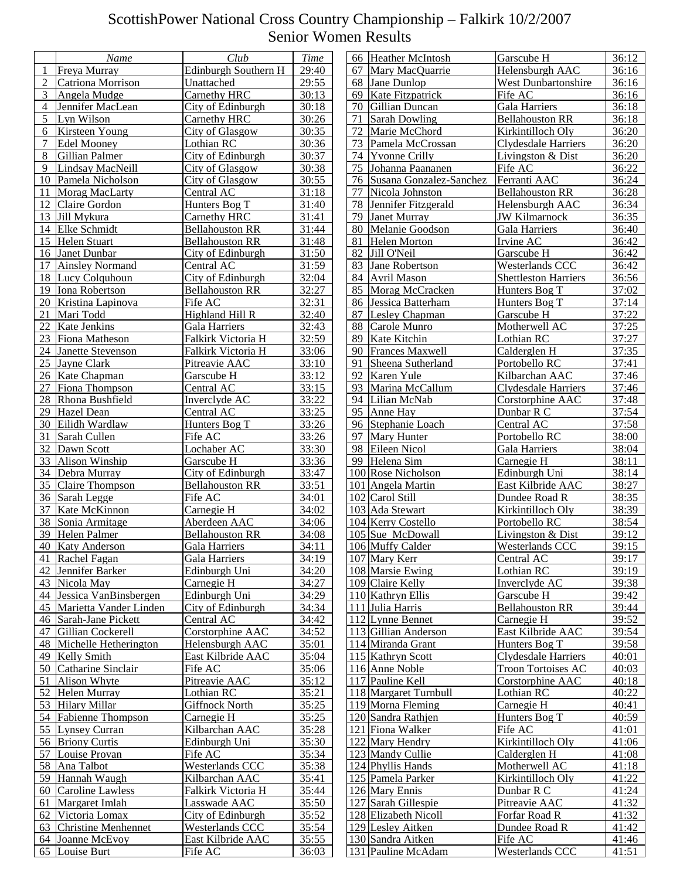|    | Name                      | Club                   | <b>Time</b> | 66 Heather McIntosh           | Garscube H                  | 36:12 |
|----|---------------------------|------------------------|-------------|-------------------------------|-----------------------------|-------|
| 1  | Freya Murray              | Edinburgh Southern H   | 29:40       | Mary MacQuarrie<br>67         | Helensburgh AAC             | 36:16 |
| 2  | Catriona Morrison         | Unattached             | 29:55       | 68 Jane Dunlop                | <b>West Dunbartonshire</b>  | 36:16 |
| 3  | Angela Mudge              | Carnethy HRC           | 30:13       | Kate Fitzpatrick<br>69        | Fife AC                     | 36:16 |
| 4  | Jennifer MacLean          | City of Edinburgh      | 30:18       | Gillian Duncan<br>70          | Gala Harriers               | 36:18 |
| 5  | Lyn Wilson                | Carnethy HRC           | 30:26       | 71<br><b>Sarah Dowling</b>    | <b>Bellahouston RR</b>      | 36:18 |
| 6  | Kirsteen Young            | City of Glasgow        | 30:35       | Marie McChord<br>72           | Kirkintilloch Oly           | 36:20 |
| 7  | <b>Edel Mooney</b>        | Lothian RC             | 30:36       | Pamela McCrossan<br>73        | Clydesdale Harriers         | 36:20 |
| 8  | Gillian Palmer            | City of Edinburgh      | 30:37       | 74 Yvonne Crilly              | Livingston & Dist           | 36:20 |
| 9  | Lindsay MacNeill          | City of Glasgow        | 30:38       | 75<br>Johanna Paananen        | Fife AC                     | 36:22 |
| 10 | Pamela Nicholson          | City of Glasgow        | 30:55       | Susana Gonzalez-Sanchez<br>76 | Ferranti AAC                | 36:24 |
| 11 | Morag MacLarty            | Central AC             | 31:18       | Nicola Johnston<br>77         | <b>Bellahouston RR</b>      | 36:28 |
| 12 | Claire Gordon             | Hunters Bog T          | 31:40       | Jennifer Fitzgerald<br>78     | Helensburgh AAC             | 36:34 |
| 13 | Jill Mykura               | Carnethy HRC           | 31:41       | <b>Janet Murray</b><br>79     | <b>JW Kilmarnock</b>        | 36:35 |
| 14 | <b>Elke Schmidt</b>       | <b>Bellahouston RR</b> | 31:44       | 80 Melanie Goodson            | <b>Gala Harriers</b>        | 36:40 |
| 15 | <b>Helen Stuart</b>       | <b>Bellahouston RR</b> | 31:48       | 81<br>Helen Morton            | Irvine AC                   | 36:42 |
| 16 | Janet Dunbar              | City of Edinburgh      | 31:50       | 82<br>Jill O'Neil             | Garscube H                  | 36:42 |
| 17 | <b>Ainsley Normand</b>    | Central AC             | 31:59       | 83<br>Jane Robertson          | Westerlands CCC             | 36:42 |
| 18 | Lucy Colquhoun            | City of Edinburgh      | 32:04       | <b>Avril Mason</b><br>84      | <b>Shettleston Harriers</b> | 36:56 |
| 19 | Iona Robertson            | <b>Bellahouston RR</b> | 32:27       | Morag McCracken<br>85         | Hunters Bog T               | 37:02 |
| 20 | Kristina Lapinova         | Fife AC                | 32:31       | 86 Jessica Batterham          | Hunters Bog T               | 37:14 |
| 21 | Mari Todd                 | Highland Hill R        | 32:40       | 87<br>Lesley Chapman          | Garscube H                  | 37:22 |
| 22 | Kate Jenkins              | <b>Gala Harriers</b>   | 32:43       | 88<br>Carole Munro            | Motherwell AC               | 37:25 |
| 23 | Fiona Matheson            | Falkirk Victoria H     | 32:59       | 89<br>Kate Kitchin            | Lothian RC                  | 37:27 |
| 24 | Janette Stevenson         | Falkirk Victoria H     | 33:06       | <b>Frances Maxwell</b><br>90  | Calderglen H                | 37:35 |
| 25 | <b>Jayne Clark</b>        | Pitreavie AAC          | 33:10       | Sheena Sutherland<br>91       | Portobello RC               | 37:41 |
| 26 | Kate Chapman              | Garscube H             | 33:12       | 92<br>Karen Yule              | Kilbarchan AAC              | 37:46 |
| 27 | Fiona Thompson            | Central AC             | 33:15       | Marina McCallum<br>93         | Clydesdale Harriers         | 37:46 |
| 28 | Rhona Bushfield           | Inverclyde AC          | 33:22       | Lilian McNab<br>94            | Corstorphine AAC            | 37:48 |
| 29 | <b>Hazel Dean</b>         | Central AC             | 33:25       | Anne Hay<br>95                | Dunbar R C                  | 37:54 |
| 30 | Eilidh Wardlaw            | Hunters Bog T          | 33:26       | Stephanie Loach<br>96         | Central AC                  | 37:58 |
| 31 | Sarah Cullen              | Fife AC                | 33:26       | Mary Hunter<br>97             | Portobello RC               | 38:00 |
| 32 | Dawn Scott                | Lochaber AC            | 33:30       | Eileen Nicol<br>98            | Gala Harriers               | 38:04 |
| 33 | Alison Winship            | Garscube H             | 33:36       | Helena Sim<br>99              | Carnegie H                  | 38:11 |
| 34 | Debra Murray              | City of Edinburgh      | 33:47       | 100 Rose Nicholson            | Edinburgh Uni               | 38:14 |
| 35 | Claire Thompson           | <b>Bellahouston RR</b> | 33:51       | 101 Angela Martin             | East Kilbride AAC           | 38:27 |
| 36 | Sarah Legge               | Fife AC                | 34:01       | 102 Carol Still               | Dundee Road R               | 38:35 |
| 37 | Kate McKinnon             | Carnegie H             | 34:02       | 103 Ada Stewart               | Kirkintilloch Oly           | 38:39 |
| 38 | Sonia Armitage            | Aberdeen AAC           | 34:06       | 104 Kerry Costello            | Portobello RC               | 38:54 |
| 39 | <b>Helen Palmer</b>       | <b>Bellahouston RR</b> | 34:08       | 105 Sue McDowall              | Livingston & Dist           | 39:12 |
|    | 40 Katy Anderson          | Gala Harriers          | 34:11       | 106 Muffy Calder              | Westerlands CCC             | 39:15 |
|    | 41 Rachel Fagan           | Gala Harriers          | 34:19       | 107 Mary Kerr                 | Central AC                  | 39:17 |
|    | 42 Jennifer Barker        | Edinburgh Uni          | 34:20       | 108 Marsie Ewing              | Lothian RC                  | 39:19 |
|    | 43 Nicola May             | Carnegie H             | 34:27       | 109 Claire Kelly              | Inverclyde AC               | 39:38 |
|    | 44 Jessica VanBinsbergen  | Edinburgh Uni          | 34:29       | 110 Kathryn Ellis             | Garscube H                  | 39:42 |
|    | 45 Marietta Vander Linden | City of Edinburgh      | 34:34       | 111 Julia Harris              | <b>Bellahouston RR</b>      | 39:44 |
|    | 46 Sarah-Jane Pickett     | Central AC             | 34:42       | 112 Lynne Bennet              | Carnegie H                  | 39:52 |
| 47 | Gillian Cockerell         | Corstorphine AAC       | 34:52       | 113 Gillian Anderson          | East Kilbride AAC           | 39:54 |
|    | 48 Michelle Hetherington  | Helensburgh AAC        | 35:01       | 114 Miranda Grant             | Hunters Bog T               | 39:58 |
|    | 49 Kelly Smith            | East Kilbride AAC      | 35:04       | 115 Kathryn Scott             | <b>Clydesdale Harriers</b>  | 40:01 |
|    | 50 Catharine Sinclair     | Fife AC                | 35:06       | 116 Anne Noble                | <b>Troon Tortoises AC</b>   | 40:03 |
| 51 | Alison Whyte              | Pitreavie AAC          | 35:12       | 117 Pauline Kell              | Corstorphine AAC            | 40:18 |
|    | 52 Helen Murray           | Lothian RC             | 35:21       | 118 Margaret Turnbull         | Lothian RC                  | 40:22 |
|    | 53 Hilary Millar          | <b>Giffnock North</b>  | 35:25       | 119 Morna Fleming             | Carnegie H                  | 40:41 |
|    | 54 Fabienne Thompson      | Carnegie H             | 35:25       | 120 Sandra Rathjen            | Hunters Bog T               | 40:59 |
|    | 55 Lynsey Curran          | Kilbarchan AAC         | 35:28       | 121 Fiona Walker              | Fife AC                     | 41:01 |
|    | 56 Briony Curtis          | Edinburgh Uni          | 35:30       | 122 Mary Hendry               | Kirkintilloch Oly           | 41:06 |
|    | 57 Louise Provan          | Fife AC                | 35:34       | 123 Mandy Cullie              | Calderglen H                | 41:08 |
|    | 58 Ana Talbot             | Westerlands CCC        | 35:38       | 124 Phyllis Hands             | Motherwell AC               | 41:18 |
|    | 59 Hannah Waugh           | Kilbarchan AAC         | 35:41       | 125 Pamela Parker             | Kirkintilloch Oly           | 41:22 |
|    | 60 Caroline Lawless       | Falkirk Victoria H     | 35:44       | 126 Mary Ennis                | Dunbar R C                  | 41:24 |
| 61 | Margaret Imlah            | Lasswade AAC           | 35:50       | 127 Sarah Gillespie           | Pitreavie AAC               | 41:32 |
|    | 62 Victoria Lomax         | City of Edinburgh      | 35:52       | 128 Elizabeth Nicoll          | Forfar Road R               | 41:32 |
|    | 63 Christine Menhennet    | Westerlands CCC        | 35:54       | 129 Lesley Aitken             | Dundee Road R               | 41:42 |
|    | 64 Joanne McEvoy          | East Kilbride AAC      | 35:55       | 130 Sandra Aitken             | Fife AC                     | 41:46 |
|    | 65 Louise Burt            | Fife AC                | 36:03       | 131 Pauline McAdam            | Westerlands CCC             | 41:51 |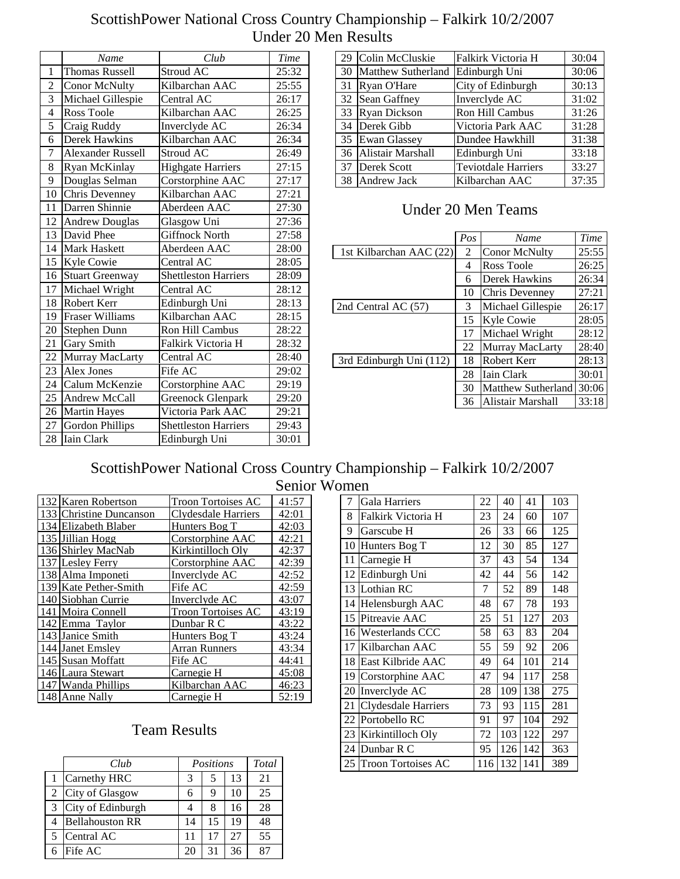|                 | Name                     | Club                        | Time  |
|-----------------|--------------------------|-----------------------------|-------|
| 1               | <b>Thomas Russell</b>    | Stroud AC                   | 25:32 |
| $\overline{c}$  | Conor McNulty            | Kilbarchan AAC              | 25:55 |
| $\overline{3}$  | Michael Gillespie        | Central AC                  | 26:17 |
| $\overline{4}$  | Ross Toole               | Kilbarchan AAC              | 26:25 |
| $\overline{5}$  | Craig Ruddy              | Inverclyde AC               | 26:34 |
| 6               | Derek Hawkins            | Kilbarchan AAC              | 26:34 |
| $\overline{7}$  | <b>Alexander Russell</b> | Stroud AC                   | 26:49 |
| 8               | Ryan McKinlay            | <b>Highgate Harriers</b>    | 27:15 |
| 9               | Douglas Selman           | Corstorphine AAC            | 27:17 |
| 10              | Chris Devenney           | Kilbarchan AAC              | 27:21 |
| 11              | Darren Shinnie           | Aberdeen AAC                | 27:30 |
| 12              | <b>Andrew Douglas</b>    | Glasgow Uni                 | 27:36 |
| 13              | David Phee               | <b>Giffnock North</b>       | 27:58 |
| 14              | <b>Mark Haskett</b>      | Aberdeen AAC                | 28:00 |
| 15              | Kyle Cowie               | Central AC                  | 28:05 |
| 16              | <b>Stuart Greenway</b>   | Shettleston Harriers        | 28:09 |
| 17              | Michael Wright           | Central AC                  | 28:12 |
| 18              | Robert Kerr              | Edinburgh Uni               | 28:13 |
| 19              | <b>Fraser Williams</b>   | Kilbarchan AAC              | 28:15 |
| 20              | Stephen Dunn             | Ron Hill Cambus             | 28:22 |
| 21              | Gary Smith               | Falkirk Victoria H          | 28:32 |
| $\overline{22}$ | Murray MacLarty          | Central AC                  | 28:40 |
| 23              | Alex Jones               | Fife AC                     | 29:02 |
| $\overline{24}$ | Calum McKenzie           | Corstorphine AAC            | 29:19 |
| 25              | <b>Andrew McCall</b>     | <b>Greenock Glenpark</b>    | 29:20 |
| 26              | <b>Martin Hayes</b>      | Victoria Park AAC           | 29:21 |
| 27              | <b>Gordon Phillips</b>   | <b>Shettleston Harriers</b> | 29:43 |
| 28              | <b>Iain Clark</b>        | Edinburgh Uni               | 30:01 |

| 29 | Colin McCluskie           | Falkirk Victoria H         | 30:04 |
|----|---------------------------|----------------------------|-------|
| 30 | <b>Matthew Sutherland</b> | Edinburgh Uni              | 30:06 |
| 31 | Ryan O'Hare               | City of Edinburgh          | 30:13 |
| 32 | Sean Gaffney              | Inverclyde AC              | 31:02 |
| 33 | <b>Ryan Dickson</b>       | Ron Hill Cambus            | 31:26 |
| 34 | Derek Gibb                | Victoria Park AAC          | 31:28 |
| 35 | <b>Ewan Glassey</b>       | Dundee Hawkhill            | 31:38 |
| 36 | Alistair Marshall         | Edinburgh Uni              | 33:18 |
| 37 | Derek Scott               | <b>Teviotdale Harriers</b> | 33:27 |
| 38 | Andrew Jack               | Kilbarchan AAC             | 37:35 |

#### Under 20 Men Teams

| Pos | Name                 | Time  |
|-----|----------------------|-------|
| 2   | <b>Conor McNulty</b> | 25:55 |
| 4   | Ross Toole           | 26:25 |
| 6   | Derek Hawkins        | 26:34 |
| 10  | Chris Devenney       | 27:21 |
| 3   | Michael Gillespie    | 26:17 |
| 15  | Kyle Cowie           | 28:05 |
| 17  | Michael Wright       | 28:12 |
| 22  | Murray MacLarty      | 28:40 |
| 18  | Robert Kerr          | 28:13 |
| 28  | Iain Clark           | 30:01 |
| 30  | Matthew Sutherland   | 30:06 |
| 36  | Alistair Marshall    | 33:18 |
|     |                      |       |

#### ScottishPower National Cross Country Championship – Falkirk 10/2/2007 Senior Women

| 132 Karen Robertson     | <b>Troon Tortoises AC</b> | 41:57 |
|-------------------------|---------------------------|-------|
| 133 Christine Duncanson | Clydesdale Harriers       | 42:01 |
| 134 Elizabeth Blaber    | Hunters Bog T             | 42:03 |
| 135 Jillian Hogg        | Corstorphine AAC          | 42:21 |
| 136 Shirley MacNab      | Kirkintilloch Oly         | 42:37 |
| 137 Lesley Ferry        | Corstorphine AAC          | 42:39 |
| 138 Alma Imponeti       | Inverclyde AC             | 42:52 |
| 139 Kate Pether-Smith   | Fife AC                   | 42:59 |
| 140 Siobhan Currie      | Inverclyde AC             | 43:07 |
| 141 Moira Connell       | <b>Troon Tortoises AC</b> | 43:19 |
| 142 Emma Taylor         | Dunbar R C                | 43:22 |
| 143 Janice Smith        | Hunters Bog T             | 43:24 |
| 144 Janet Emsley        | Arran Runners             | 43:34 |
| 145 Susan Moffatt       | Fife AC                   | 44:41 |
| 146 Laura Stewart       | Carnegie H                | 45:08 |
| 147 Wanda Phillips      | Kilbarchan AAC            | 46:23 |
| 148 Anne Nally          | Carnegie H                | 52:19 |

### Team Results

|   | Club                   |    | Positions |    | Total |
|---|------------------------|----|-----------|----|-------|
|   | Carnethy HRC           | 3  | 5         | 13 | 21    |
|   | 2 City of Glasgow      | 6  | Q         | 10 | 25    |
| 3 | City of Edinburgh      |    | 8         | 16 | 28    |
|   | <b>Bellahouston RR</b> | 14 | 15        | 19 | 48    |
|   | Central AC             | 11 | 17        | 27 | 55    |
|   | Fife AC                | 20 | 31        | 36 |       |

| 7  | Gala Harriers             | 22  | 40  | 41  | 103 |
|----|---------------------------|-----|-----|-----|-----|
| 8  | Falkirk Victoria H        | 23  | 24  | 60  | 107 |
| 9  | Garscube H                | 26  | 33  | 66  | 125 |
| 10 | Hunters Bog T             | 12  | 30  | 85  | 127 |
| 11 | Carnegie H                | 37  | 43  | 54  | 134 |
| 12 | Edinburgh Uni             | 42  | 44  | 56  | 142 |
| 13 | Lothian RC                | 7   | 52  | 89  | 148 |
| 14 | Helensburgh AAC           | 48  | 67  | 78  | 193 |
| 15 | Pitreavie AAC             | 25  | 51  | 127 | 203 |
| 16 | Westerlands CCC           | 58  | 63  | 83  | 204 |
| 17 | Kilbarchan AAC            | 55  | 59  | 92  | 206 |
| 18 | East Kilbride AAC         | 49  | 64  | 101 | 214 |
| 19 | Corstorphine AAC          | 47  | 94  | 117 | 258 |
| 20 | Inverclyde AC             | 28  | 109 | 138 | 275 |
| 21 | Clydesdale Harriers       | 73  | 93  | 115 | 281 |
| 22 | Portobello RC             | 91  | 97  | 104 | 292 |
| 23 | Kirkintilloch Oly         | 72  | 103 | 122 | 297 |
| 24 | Dunbar R C                | 95  | 126 | 142 | 363 |
| 25 | <b>Troon Tortoises AC</b> | 116 | 132 | 141 | 389 |
|    |                           |     |     |     |     |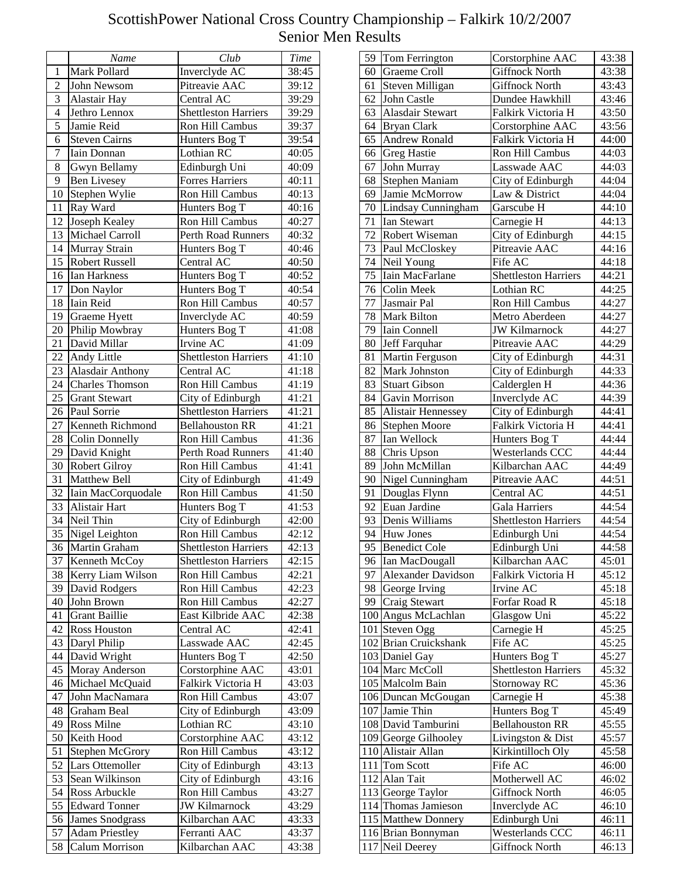|                       | Name                   | Club                                    | <b>Time</b> |
|-----------------------|------------------------|-----------------------------------------|-------------|
| $\mathbf{1}$          | Mark Pollard           | Inverclyde AC                           | 38:45       |
| $\overline{2}$        | John Newsom            | Pitreavie AAC                           | 39:12       |
| 3                     | Alastair Hay           | Central AC                              | 39:29       |
| $\overline{4}$        | Jethro Lennox          | <b>Shettleston Harriers</b>             | 39:29       |
| 5                     | Jamie Reid             | Ron Hill Cambus                         | 39:37       |
| 6                     | <b>Steven Cairns</b>   | Hunters Bog T                           | 39:54       |
| $\overline{7}$        | Iain Donnan            | Lothian RC                              | 40:05       |
| 8                     |                        |                                         |             |
| 9                     | Gwyn Bellamy           | Edinburgh Uni<br><b>Forres Harriers</b> | 40:09       |
|                       | <b>Ben Livesey</b>     |                                         | 40:11       |
| 10                    | Stephen Wylie          | Ron Hill Cambus                         | 40:13       |
| 11                    | Ray Ward               | Hunters Bog T                           | 40:16       |
| 12                    | Joseph Kealey          | Ron Hill Cambus                         | 40:27       |
| 13                    | Michael Carroll        | <b>Perth Road Runners</b>               | 40:32       |
| 14                    | Murray Strain          | Hunters Bog T                           | 40:46       |
| 15                    | <b>Robert Russell</b>  | Central AC                              | 40:50       |
| 16                    | Ian Harkness           | Hunters Bog T                           | 40:52       |
| 17                    | Don Naylor             | Hunters Bog T                           | 40:54       |
| 18                    | Iain Reid              | Ron Hill Cambus                         | 40:57       |
| 19                    | Graeme Hyett           | Inverclyde AC                           | 40:59       |
| 20                    | Philip Mowbray         | Hunters Bog T                           | 41:08       |
| 21                    | David Millar           | Irvine AC                               | 41:09       |
| $\overline{22}$       | Andy Little            | <b>Shettleston Harriers</b>             | 41:10       |
| 23                    | Alasdair Anthony       | Central AC                              | 41:18       |
| $\overline{24}$       | <b>Charles Thomson</b> | Ron Hill Cambus                         | 41:19       |
| 25                    | <b>Grant Stewart</b>   | City of Edinburgh                       | 41:21       |
| 26                    | Paul Sorrie            | <b>Shettleston Harriers</b>             | 41:21       |
| 27                    | Kenneth Richmond       | <b>Bellahouston RR</b>                  | 41:21       |
| 28                    | <b>Colin Donnelly</b>  | Ron Hill Cambus                         | 41:36       |
| 29                    | David Knight           | Perth Road Runners                      | 41:40       |
| 30                    | <b>Robert Gilroy</b>   | Ron Hill Cambus                         | 41:41       |
| 31                    | Matthew Bell           | City of Edinburgh                       |             |
| 32                    |                        | Ron Hill Cambus                         | 41:49       |
|                       | Iain MacCorquodale     |                                         | 41:50       |
| 33<br>$\overline{34}$ | Alistair Hart          | Hunters Bog T                           | 41:53       |
|                       | Neil Thin              | City of Edinburgh                       | 42:00       |
| 35                    | Nigel Leighton         | Ron Hill Cambus                         | 42:12       |
| $\overline{36}$       | Martin Graham          | <b>Shettleston Harriers</b>             | 42:13       |
| 37                    | Kenneth McCoy          | <b>Shettleston Harriers</b>             | 42:15       |
| 38                    | Kerry Liam Wilson      | Ron Hill Cambus                         | 42:21       |
| 39                    | David Rodgers          | Ron Hill Cambus                         | 42:23       |
| 40                    | John Brown             | Ron Hill Cambus                         | 42:27       |
| 41                    | <b>Grant Baillie</b>   | East Kilbride AAC                       | 42:38       |
| 42                    | <b>Ross Houston</b>    | Central AC                              | 42:41       |
| 43                    | Daryl Philip           | Lasswade AAC                            | 42:45       |
| 44                    | David Wright           | Hunters Bog T                           | 42:50       |
| 45                    | Moray Anderson         | Corstorphine AAC                        | 43:01       |
| 46                    | Michael McQuaid        | Falkirk Victoria H                      | 43:03       |
| 47                    | John MacNamara         | Ron Hill Cambus                         | 43:07       |
| 48                    | Graham Beal            | City of Edinburgh                       | 43:09       |
| 49                    | Ross Milne             | Lothian RC                              | 43:10       |
| 50                    | Keith Hood             | Corstorphine AAC                        | 43:12       |
| 51                    | Stephen McGrory        | Ron Hill Cambus                         | 43:12       |
| 52                    | <b>Lars Ottemoller</b> | City of Edinburgh                       | 43:13       |
| 53                    | Sean Wilkinson         | City of Edinburgh                       | 43:16       |
| 54                    | Ross Arbuckle          | Ron Hill Cambus                         | 43:27       |
| 55                    | <b>Edward Tonner</b>   | <b>JW Kilmarnock</b>                    | 43:29       |
| 56                    | <b>James Snodgrass</b> | Kilbarchan AAC                          | 43:33       |
| 57                    | <b>Adam Priestley</b>  | Ferranti AAC                            | 43:37       |
| 58                    | Calum Morrison         | Kilbarchan AAC                          | 43:38       |
|                       |                        |                                         |             |

| 59              | Tom Ferrington          | Corstorphine AAC                | 43:38 |
|-----------------|-------------------------|---------------------------------|-------|
| 60              | Graeme Croll            | <b>Giffnock North</b>           | 43:38 |
| 61              | Steven Milligan         | <b>Giffnock North</b>           | 43:43 |
| 62              | John Castle             | Dundee Hawkhill                 | 43:46 |
| 63              | <b>Alasdair Stewart</b> | Falkirk Victoria H              | 43:50 |
| 64              | <b>Bryan Clark</b>      | Corstorphine AAC                | 43:56 |
| 65              | <b>Andrew Ronald</b>    | Falkirk Victoria H              | 44:00 |
| 66              | <b>Greg Hastie</b>      | Ron Hill Cambus                 | 44:03 |
| 67              | John Murray             | Lasswade AAC                    | 44:03 |
| 68              | Stephen Maniam          | City of Edinburgh               | 44:04 |
| 69              | Jamie McMorrow          | Law & District                  | 44:04 |
| 70              | Lindsay Cunningham      | Garscube H                      | 44:10 |
| 71              | <b>Ian Stewart</b>      | Carnegie H                      | 44:13 |
| 72              | Robert Wiseman          | City of Edinburgh               | 44:15 |
| 73              | Paul McCloskey          | Pitreavie AAC                   | 44:16 |
| 74              | Neil Young              | Fife AC                         | 44:18 |
| 75              | Iain MacFarlane         | <b>Shettleston Harriers</b>     | 44:21 |
| 76              | <b>Colin Meek</b>       | Lothian RC                      | 44:25 |
| 77              | Jasmair Pal             | Ron Hill Cambus                 |       |
| 78              | <b>Mark Bilton</b>      | Metro Aberdeen                  | 44:27 |
|                 |                         |                                 | 44:27 |
| 79              | Iain Connell            | <b>JW Kilmarnock</b>            | 44:27 |
| 80              | Jeff Farquhar           | Pitreavie AAC                   | 44:29 |
| 81              | Martin Ferguson         | City of Edinburgh               | 44:31 |
| 82              | Mark Johnston           | City of Edinburgh               | 44:33 |
| 83              | <b>Stuart Gibson</b>    | Calderglen H                    | 44:36 |
| 84              | Gavin Morrison          | Inverclyde AC                   | 44:39 |
| 85              | Alistair Hennessey      | City of Edinburgh               | 44:41 |
| 86              | <b>Stephen Moore</b>    | Falkirk Victoria H              | 44:41 |
| 87              | Ian Wellock             | Hunters Bog T                   | 44:44 |
| 88              | Chris Upson             | Westerlands CCC                 | 44:44 |
| 89              | John McMillan           | Kilbarchan AAC                  | 44:49 |
| 90              | Nigel Cunningham        | Pitreavie AAC                   | 44:51 |
| 91              | Douglas Flynn           | Central AC                      | 44:51 |
| 92              | Euan Jardine            | Gala Harriers                   | 44:54 |
| 93              | Denis Williams          | <b>Shettleston Harriers</b>     | 44:54 |
| 94              | <b>Huw Jones</b>        | Edinburgh Uni                   | 44:54 |
| $\overline{95}$ | <b>Benedict Cole</b>    | Edinburgh Uni                   | 44:58 |
| 96              | Ian MacDougall          | Kilbarchan AAC                  | 45:01 |
| 97              | Alexander Davidson      | Falkirk Victoria H              | 45:12 |
| 98              | George Irving           | Irvine AC                       | 45:18 |
| 99              | Craig Stewart           | Forfar Road R                   | 45:18 |
|                 | 100 Angus McLachlan     | Glasgow Uni                     | 45:22 |
|                 | 101 Steven Ogg          | Carnegie H                      | 45:25 |
|                 | 102 Brian Cruickshank   | $\overline{\text{F}}$ ife AC    | 45:25 |
|                 | 103 Daniel Gay          | Hunters Bog T                   | 45:27 |
|                 | 104 Marc McColl         | <b>Shettleston Harriers</b>     | 45:32 |
|                 | 105 Malcolm Bain        | Stornoway RC                    | 45:36 |
|                 | 106 Duncan McGougan     | $\overline{\text{Carn}}$ egie H | 45:38 |
|                 | 107 Jamie Thin          | Hunters Bog T                   | 45:49 |
|                 | 108 David Tamburini     | Bellahouston RR                 | 45:55 |
|                 | 109 George Gilhooley    | Livingston & Dist               | 45:57 |
|                 | 110 Alistair Allan      | Kirkintilloch Oly               | 45:58 |
|                 | 111 Tom Scott           | Fife AC                         | 46:00 |
|                 | 112 Alan Tait           | Motherwell AC                   | 46:02 |
|                 | 113 George Taylor       | <b>Giffnock North</b>           | 46:05 |
|                 | 114 Thomas Jamieson     | Inverclyde AC                   | 46:10 |
|                 | 115 Matthew Donnery     | Edinburgh Uni                   | 46:11 |
|                 | 116 Brian Bonnyman      | Westerlands CCC                 | 46:11 |
|                 | 117 Neil Deerey         | <b>Giffnock North</b>           | 46:13 |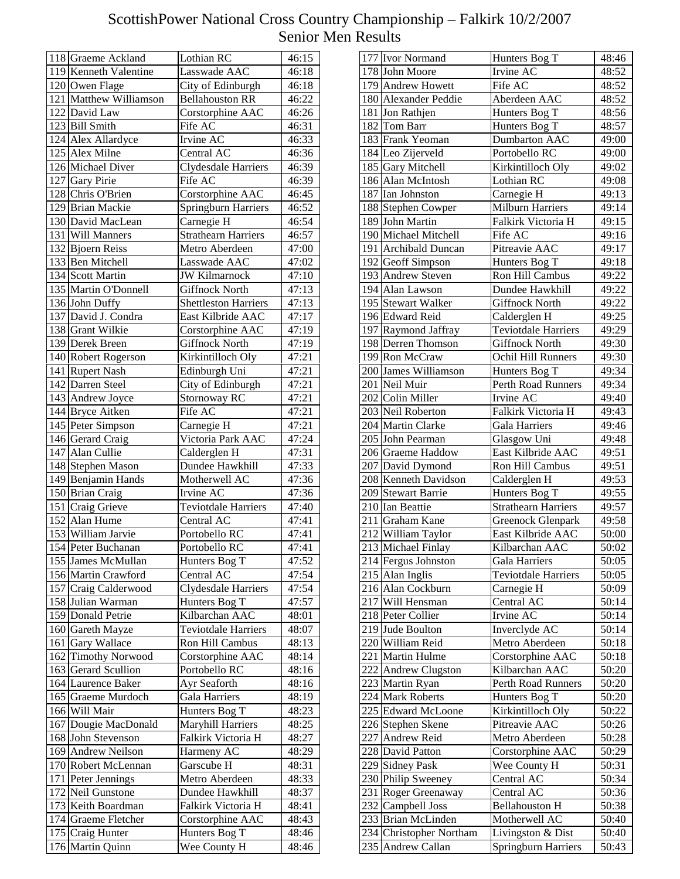| 118 Graeme Ackland                  | Lothian RC                      | 46:15          |
|-------------------------------------|---------------------------------|----------------|
| 119 Kenneth Valentine               | Lasswade AAC                    | 46:18          |
| 120 Owen Flage                      | City of Edinburgh               | 46:18          |
| 121 Matthew Williamson              | <b>Bellahouston RR</b>          | 46:22          |
| 122 David Law                       | Corstorphine AAC                | 46:26          |
| 123 Bill Smith                      | Fife AC                         | 46:31          |
| 124 Alex Allardyce                  | Irvine AC                       | 46:33          |
| 125 Alex Milne                      | Central AC                      | 46:36          |
| 126 Michael Diver                   | Clydesdale Harriers             | 46:39          |
| 127 Gary Pirie                      | Fife AC                         | 46:39          |
| 128 Chris O'Brien                   | Corstorphine AAC                | 46:45          |
| 129 Brian Mackie                    | <b>Springburn Harriers</b>      | 46:52          |
| 130 David MacLean                   | Carnegie H                      | 46:54          |
| 131 Will Manners                    | <b>Strathearn Harriers</b>      | 46:57          |
| 132 Bjoern Reiss                    | Metro Aberdeen                  | 47:00          |
| 133 Ben Mitchell                    | Lasswade AAC                    | 47:02          |
| 134 Scott Martin                    | <b>JW Kilmarnock</b>            | 47:10          |
| 135 Martin O'Donnell                | Giffnock North                  | 47:13          |
| 136 John Duffy                      | <b>Shettleston Harriers</b>     | 47:13          |
| 137 David J. Condra                 | East Kilbride AAC               | 47:17          |
| 138 Grant Wilkie                    | Corstorphine AAC                | 47:19          |
| 139 Derek Breen                     | <b>Giffnock North</b>           | 47:19          |
| 140 Robert Rogerson                 | Kirkintilloch Oly               | 47:21          |
| 141 Rupert Nash                     | Edinburgh Uni                   | 47:21          |
| 142 Darren Steel                    | <b>City of Edinburgh</b>        | 47:21          |
| $143$ Andrew Joyce                  | Stornoway RC                    | 47:21          |
| 144 Bryce Aitken                    | Fife AC                         | 47:21          |
|                                     |                                 | 47:21          |
| 145 Peter Simpson                   | Carnegie H<br>Victoria Park AAC | 47:24          |
| 146 Gerard Craig<br>147 Alan Cullie | Calderglen H                    |                |
| 148 Stephen Mason                   | Dundee Hawkhill                 | 47:31          |
| 149 Benjamin Hands                  | Motherwell AC                   | 47:33<br>47:36 |
| 150 Brian Craig                     | Irvine AC                       | 47:36          |
| 151 Craig Grieve                    | <b>Teviotdale Harriers</b>      | 47:40          |
| 152 Alan Hume                       | Central AC                      | 47:41          |
| 153 William Jarvie                  | Portobello RC                   | 47:41          |
| 154 Peter Buchanan                  | Portobello RC                   | 47:41          |
|                                     |                                 |                |
| 155 James McMullan                  | Hunters Bog T                   | 47:52          |
| 156 Martin Crawford                 | Central AC                      | 47:54          |
| 157 Craig Calderwood                | Clydesdale Harriers             | 47:54          |
| 158 Julian Warman                   | Hunters Bog T                   | 47:57          |
| 159 Donald Petrie                   | Kilbarchan AAC                  | 48:01          |
| 160 Gareth Mayze                    | <b>Teviotdale Harriers</b>      | 48:07          |
| 161 Gary Wallace                    | Ron Hill Cambus                 | 48:13          |
| 162 Timothy Norwood                 | Corstorphine AAC                | 48:14          |
| 163 Gerard Scullion                 | Portobello RC                   | 48:16          |
| 164 Laurence Baker                  | Ayr Seaforth                    | 48:16          |
| 165 Graeme Murdoch                  | <b>Gala Harriers</b>            | 48:19          |
| 166 Will Mair                       | Hunters Bog T                   | 48:23          |
| 167 Dougie MacDonald                | Maryhill Harriers               | 48:25          |
| 168 John Stevenson                  | Falkirk Victoria H              | 48:27          |
| 169 Andrew Neilson                  | Harmeny AC                      | 48:29          |
| 170 Robert McLennan                 | Garscube H                      | 48:31          |
| 171 Peter Jennings                  | Metro Aberdeen                  | 48:33          |
| 172 Neil Gunstone                   | Dundee Hawkhill                 | 48:37          |
| 173 Keith Boardman                  | Falkirk Victoria H              | 48:41          |
| 174 Graeme Fletcher                 | Corstorphine AAC                | 48:43          |
| 175 Craig Hunter                    | Hunters Bog T                   | 48:46          |
| 176 Martin Quinn                    | Wee County H                    | 48:46          |

| 177 Ivor Normand        | Hunters Bog T              | 48:46 |
|-------------------------|----------------------------|-------|
| 178 John Moore          | Irvine AC                  | 48:52 |
| 179 Andrew Howett       | Fife AC                    | 48:52 |
| 180 Alexander Peddie    | Aberdeen AAC               | 48:52 |
| 181 Jon Rathjen         | Hunters Bog T              | 48:56 |
| 182 Tom Barr            | Hunters Bog T              | 48:57 |
| 183 Frank Yeoman        | Dumbarton AAC              | 49:00 |
| 184 Leo Zijerveld       | Portobello RC              | 49:00 |
| 185 Gary Mitchell       | Kirkintilloch Oly          | 49:02 |
| 186 Alan McIntosh       | Lothian RC                 | 49:08 |
| 187 Ian Johnston        | Carnegie H                 | 49:13 |
| 188 Stephen Cowper      | <b>Milburn Harriers</b>    | 49:14 |
| 189 John Martin         | Falkirk Victoria H         | 49:15 |
| 190 Michael Mitchell    | Fife AC                    | 49:16 |
| 191 Archibald Duncan    | Pitreavie AAC              | 49:17 |
| 192 Geoff Simpson       | Hunters Bog T              | 49:18 |
| 193 Andrew Steven       | Ron Hill Cambus            | 49:22 |
| 194 Alan Lawson         | Dundee Hawkhill            | 49:22 |
| 195 Stewart Walker      | <b>Giffnock North</b>      | 49:22 |
| 196 Edward Reid         | Calderglen H               | 49:25 |
| 197 Raymond Jaffray     | <b>Teviotdale Harriers</b> | 49:29 |
| 198 Derren Thomson      | <b>Giffnock North</b>      | 49:30 |
| 199 Ron McCraw          | Ochil Hill Runners         | 49:30 |
| 200 James Williamson    | Hunters Bog T              | 49:34 |
| 201 Neil Muir           | Perth Road Runners         | 49:34 |
| 202 Colin Miller        | Irvine AC                  | 49:40 |
| 203 Neil Roberton       | Falkirk Victoria H         | 49:43 |
| 204 Martin Clarke       | <b>Gala Harriers</b>       | 49:46 |
| 205 John Pearman        | Glasgow Uni                | 49:48 |
| 206 Graeme Haddow       | East Kilbride AAC          | 49:51 |
| 207 David Dymond        | Ron Hill Cambus            | 49:51 |
| 208 Kenneth Davidson    | Calderglen H               | 49:53 |
| 209 Stewart Barrie      | Hunters Bog T              | 49:55 |
| 210 Ian Beattie         | <b>Strathearn Harriers</b> | 49:57 |
| 211 Graham Kane         | Greenock Glenpark          | 49:58 |
| 212 William Taylor      | East Kilbride AAC          | 50:00 |
| 213 Michael Finlay      | Kilbarchan AAC             | 50:02 |
| 214 Fergus Johnston     | Gala Harriers              | 50:05 |
| $215$ Alan Inglis       | <b>Teviotdale Harriers</b> | 50:05 |
| 216 Alan Cockburn       | Carnegie H                 | 50:09 |
| 217 Will Hensman        | Central AC                 | 50:14 |
| 218 Peter Collier       | Irvine AC                  | 50:14 |
| 219 Jude Boulton        | Inverclyde AC              | 50:14 |
| 220 William Reid        | Metro Aberdeen             | 50:18 |
| 221 Martin Hulme        | Corstorphine AAC           | 50:18 |
| 222 Andrew Clugston     | Kilbarchan AAC             | 50:20 |
| 223 Martin Ryan         | Perth Road Runners         | 50:20 |
| 224 Mark Roberts        | Hunters Bog T              | 50:20 |
| 225 Edward McLoone      | Kirkintilloch Oly          | 50:22 |
| 226 Stephen Skene       | Pitreavie AAC              | 50:26 |
| 227 Andrew Reid         | Metro Aberdeen             | 50:28 |
| 228 David Patton        | Corstorphine AAC           | 50:29 |
| 229 Sidney Pask         | Wee County H               | 50:31 |
| 230 Philip Sweeney      | Central AC                 | 50:34 |
| 231 Roger Greenaway     | Central AC                 | 50:36 |
| 232 Campbell Joss       | <b>Bellahouston H</b>      | 50:38 |
| 233 Brian McLinden      | Motherwell AC              | 50:40 |
| 234 Christopher Northam | Livingston & Dist          | 50:40 |
| 235 Andrew Callan       | Springburn Harriers        | 50:43 |
|                         |                            |       |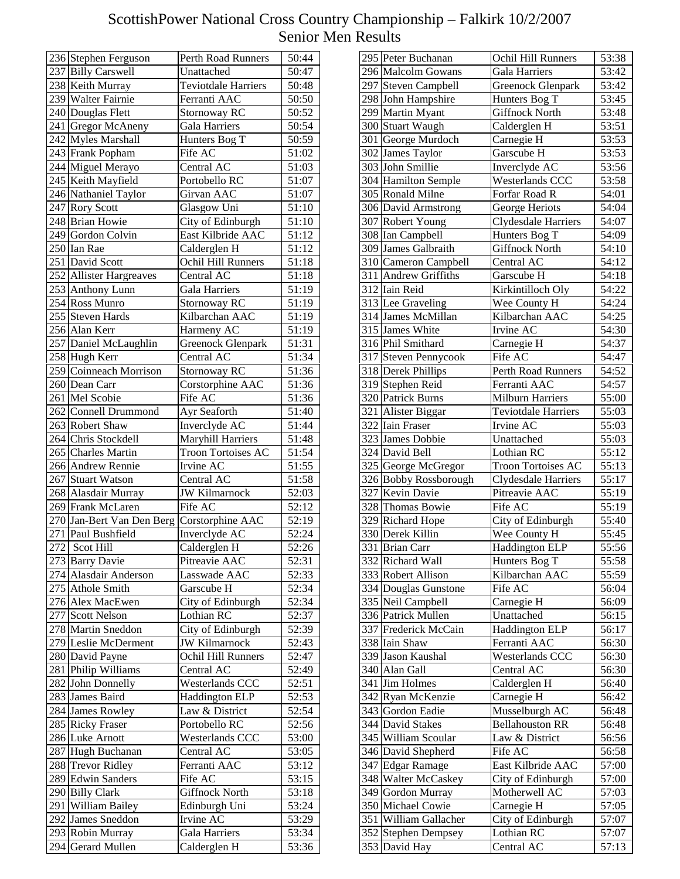| 236 Stephen Ferguson        | Perth Road Runners         | 50:44              |
|-----------------------------|----------------------------|--------------------|
| 237 Billy Carswell          | Unattached                 | 50:47              |
| 238 Keith Murray            | <b>Teviotdale Harriers</b> | 50:48              |
| 239 Walter Fairnie          | Ferranti AAC               | 50:50              |
| 240 Douglas Flett           | Stornoway RC               | 50:52              |
| 241 Gregor McAneny          | Gala Harriers              | 50:54              |
| 242 Myles Marshall          | Hunters Bog T              | 50:59              |
| 243 Frank Popham            | Fife AC                    | 51:02              |
| 244 Miguel Merayo           | Central AC                 | 51:03              |
| 245 Keith Mayfield          | Portobello RC              | 51:07              |
| 246 Nathaniel Taylor        | Girvan AAC                 | 51:07              |
| 247 Rory Scott              | Glasgow Uni                | 51:10              |
| 248 Brian Howie             |                            |                    |
|                             | City of Edinburgh          | 51:10              |
| 249 Gordon Colvin           | East Kilbride AAC          | 51:12              |
| 250 Ian Rae                 | Calderglen H               | 51:12              |
| 251 David Scott             | Ochil Hill Runners         | 51:18              |
| 252 Allister Hargreaves     | Central AC                 | 51:18              |
| 253 Anthony Lunn            | Gala Harriers              | 51:19              |
| $254$ Ross Munro            | Stornoway RC               | 51:19              |
| 255 Steven Hards            | Kilbarchan AAC             | 51:19              |
| 256 Alan Kerr               | Harmeny AC                 | 51:19              |
| 257 Daniel McLaughlin       | Greenock Glenpark          | 51:31              |
| $258$ Hugh Kerr             | Central AC                 | $\overline{5}1:34$ |
| 259 Coinneach Morrison      | Stornoway RC               | 51:36              |
| 260 Dean Carr               | Corstorphine AAC           | $\overline{51:36}$ |
| $\overline{261}$ Mel Scobie | Fife AC                    | 51:36              |
| 262 Connell Drummond        | Ayr Seaforth               | 51:40              |
| 263 Robert Shaw             | Inverclyde AC              | 51:44              |
| 264 Chris Stockdell         | Maryhill Harriers          | 51:48              |
|                             | Troon Tortoises AC         |                    |
| 265 Charles Martin          |                            | 51:54              |
| 266 Andrew Rennie           | Irvine AC                  | 51:55              |
| 267 Stuart Watson           | Central AC                 | 51:58              |
| 268 Alasdair Murray         | <b>JW Kilmarnock</b>       | 52:03              |
| 269 Frank McLaren           | Fife AC                    | 52:12              |
| 270 Jan-Bert Van Den Berg   | Corstorphine AAC           | 52:19              |
| 271 Paul Bushfield          | Inverclyde AC              | 52:24              |
| 272 Scot Hill               | Calderglen H               | 52:26              |
| 273 Barry Davie             | Pitreavie AAC              | 52:31              |
| 274 Alasdair Anderson       | Lasswade AAC               | 52:33              |
| 275 Athole Smith            | Garscube H                 | 52:34              |
| 276 Alex MacEwen            | City of Edinburgh          | 52:34              |
| 277 Scott Nelson            | Lothian RC                 | 52:37              |
| 278 Martin Sneddon          | City of Edinburgh          | 52:39              |
| 279 Leslie McDerment        | <b>JW Kilmarnock</b>       | 52:43              |
| 280 David Payne             | Ochil Hill Runners         | 52:47              |
| 281 Philip Williams         | Central AC                 | 52:49              |
| 282 John Donnelly           | Westerlands CCC            | 52:51              |
|                             |                            |                    |
| 283 James Baird             | Haddington ELP             | 52:53              |
| 284 James Rowley            | Law & District             | 52:54              |
| 285 Ricky Fraser            | Portobello RC              | 52:56              |
| 286 Luke Arnott             | Westerlands CCC            | 53:00              |
| 287 Hugh Buchanan           | Central AC                 | 53:05              |
| 288 Trevor Ridley           | Ferranti AAC               | 53:12              |
| 289 Edwin Sanders           | Fife AC                    | 53:15              |
| 290 Billy Clark             | <b>Giffnock North</b>      | 53:18              |
| 291 William Bailey          | Edinburgh Uni              | 53:24              |
| 292 James Sneddon           | Irvine AC                  | 53:29              |
| 293 Robin Murray            | Gala Harriers              | 53:34              |
| 294 Gerard Mullen           | Calderglen H               | 53:36              |
|                             |                            |                    |

| 295 Peter Buchanan          | Ochil Hill Runners         | 53:38              |
|-----------------------------|----------------------------|--------------------|
| 296 Malcolm Gowans          | Gala Harriers              | 53:42              |
| 297 Steven Campbell         | Greenock Glenpark          | 53:42              |
| 298 John Hampshire          | Hunters Bog T              | 53:45              |
| 299 Martin Myant            | <b>Giffnock North</b>      | 53:48              |
| 300 Stuart Waugh            | Calderglen H               | 53:51              |
| 301 George Murdoch          | Carnegie H                 | 53:53              |
| 302 James Taylor            | Garscube H                 | $\overline{5}3:53$ |
| 303 John Smillie            | Inverclyde AC              | 53:56              |
| 304 Hamilton Semple         | Westerlands CCC            | 53:58              |
| 305 Ronald Milne            | Forfar Road R              | $\overline{5}4:01$ |
| 306 David Armstrong         | George Heriots             | 54:04              |
| 307 Robert Young            | Clydesdale Harriers        | 54:07              |
| 308 Ian Campbell            | Hunters Bog T              | 54:09              |
| 309 James Galbraith         | <b>Giffnock North</b>      |                    |
|                             |                            | 54:10              |
| 310 Cameron Campbell        | Central AC                 | 54:12              |
| 311 Andrew Griffiths        | Garscube H                 | $\overline{5}4:18$ |
| 312 Iain Reid               | Kirkintilloch Oly          | 54:22              |
| 313 Lee Graveling           | Wee County H               | 54:24              |
| 314 James McMillan          | Kilbarchan AAC             | 54:25              |
| 315 James White             | Irvine AC                  | 54:30              |
| 316 Phil Smithard           | Carnegie H                 | 54:37              |
| 317 Steven Pennycook        | Fife AC                    | 54:47              |
| 318 Derek Phillips          | Perth Road Runners         | 54:52              |
| 319 Stephen Reid            | Ferranti AAC               | $\overline{5}4:57$ |
| 320 Patrick Burns           | <b>Milburn Harriers</b>    | 55:00              |
| 321 Alister Biggar          | <b>Teviotdale Harriers</b> | 55:03              |
| 322 Iain Fraser             | Irvine AC                  | 55:03              |
| 323 James Dobbie            | Unattached                 | 55:03              |
| $\overline{324}$ David Bell | Lothian RC                 | 55:12              |
| 325 George McGregor         | Troon Tortoises AC         | 55:13              |
| 326 Bobby Rossborough       | Clydesdale Harriers        | 55:17              |
| 327 Kevin Davie             | Pitreavie AAC              | 55:19              |
| 328 Thomas Bowie            | Fife AC                    | 55:19              |
| 329 Richard Hope            | City of Edinburgh          | 55:40              |
| 330 Derek Killin            | Wee County H               | 55:45              |
| 331 Brian Carr              | <b>Haddington ELP</b>      | $\overline{55:56}$ |
| 332 Richard Wall            | Hunters Bog T              | 55:58              |
| 333 Robert Allison          | Kilbarchan AAC             | 55:59              |
| 334 Douglas Gunstone        | Fife AC                    | 56:04              |
| 335 Neil Campbell           | Carnegie H                 | 56:09              |
| 336 Patrick Mullen          | Unattached                 | 56:15              |
| 337 Frederick McCain        | Haddington ELP             | 56:17              |
| 338 Iain Shaw               | Ferranti AAC               | 56:30              |
| 339 Jason Kaushal           | Westerlands CCC            | 56:30              |
| 340 Alan Gall               | Central AC                 | 56:30              |
| 341 Jim Holmes              | Calderglen H               | 56:40              |
| 342 Ryan McKenzie           | Carnegie H                 | 56:42              |
| 343 Gordon Eadie            | Musselburgh AC             | 56:48              |
| 344 David Stakes            | <b>Bellahouston RR</b>     | 56:48              |
| 345 William Scoular         | Law & District             | 56:56              |
| 346 David Shepherd          | Fife AC                    | 56:58              |
| 347 Edgar Ramage            | East Kilbride AAC          | 57:00              |
|                             |                            |                    |
| 348 Walter McCaskey         | City of Edinburgh          | 57:00              |
| 349 Gordon Murray           | Motherwell AC              | 57:03              |
| 350 Michael Cowie           | Carnegie H                 | 57:05              |
| 351 William Gallacher       | City of Edinburgh          | 57:07              |
| 352 Stephen Dempsey         | Lothian RC                 | 57:07              |
| 353 David Hay               | Central AC                 | $\overline{57:13}$ |